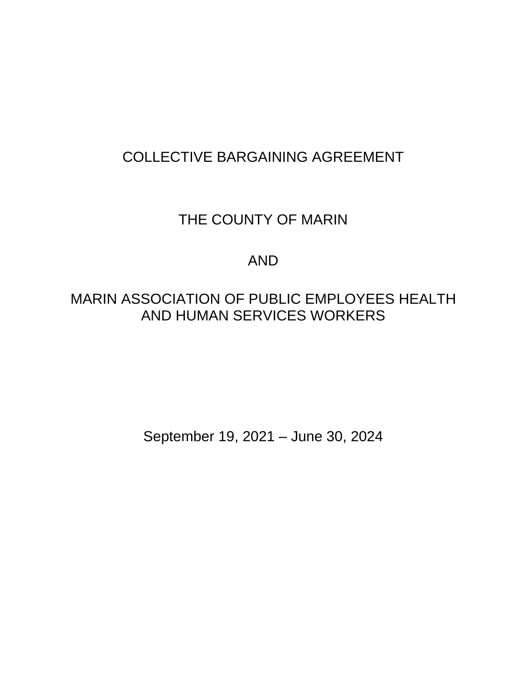# COLLECTIVE BARGAINING AGREEMENT

# THE COUNTY OF MARIN

# AND

# MARIN ASSOCIATION OF PUBLIC EMPLOYEES HEALTH AND HUMAN SERVICES WORKERS

September 19, 2021 – June 30, 2024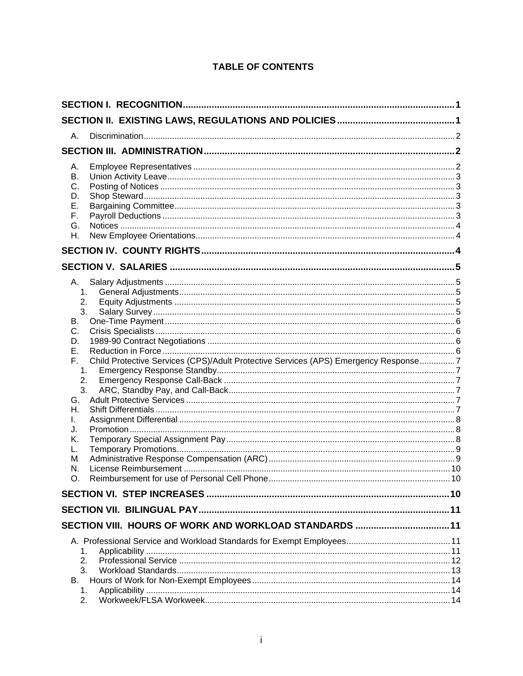# **TABLE OF CONTENTS**

| А.                                                                                                                        |                                                                                     |  |
|---------------------------------------------------------------------------------------------------------------------------|-------------------------------------------------------------------------------------|--|
|                                                                                                                           |                                                                                     |  |
| А.<br>Β.<br>С.<br>D.<br>Ε.<br>F.<br>G.<br>Η.                                                                              |                                                                                     |  |
|                                                                                                                           |                                                                                     |  |
|                                                                                                                           |                                                                                     |  |
| А.<br>1.<br>2.<br>3.<br>В.<br>C.<br>D.<br>Е.<br>F.<br>1.<br>2.<br>3.<br>G.<br>Н.<br>L.<br>J.<br>Κ.<br>L.<br>M<br>N.<br>O. | Child Protective Services (CPS)/Adult Protective Services (APS) Emergency Response7 |  |
|                                                                                                                           |                                                                                     |  |
|                                                                                                                           |                                                                                     |  |
| 1.<br>2.<br>3.<br>В.<br>1.<br>2.                                                                                          |                                                                                     |  |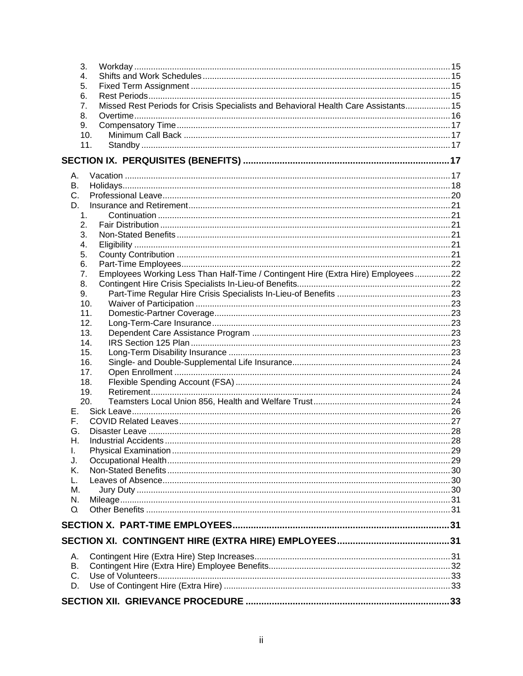| 3.      |                                                                                     |  |
|---------|-------------------------------------------------------------------------------------|--|
| 4.      |                                                                                     |  |
| 5.      |                                                                                     |  |
| 6.      |                                                                                     |  |
| 7.      | Missed Rest Periods for Crisis Specialists and Behavioral Health Care Assistants 15 |  |
| 8.      |                                                                                     |  |
| 9.      |                                                                                     |  |
| 10.     |                                                                                     |  |
| 11.     |                                                                                     |  |
|         |                                                                                     |  |
| Α.      |                                                                                     |  |
| B.      |                                                                                     |  |
| C.      |                                                                                     |  |
| D.      |                                                                                     |  |
| 1.      |                                                                                     |  |
| 2.      |                                                                                     |  |
| 3.      |                                                                                     |  |
| 4.      |                                                                                     |  |
| 5.      |                                                                                     |  |
| 6.      |                                                                                     |  |
| 7.      | Employees Working Less Than Half-Time / Contingent Hire (Extra Hire) Employees22    |  |
| 8.      |                                                                                     |  |
| 9.      |                                                                                     |  |
| 10.     |                                                                                     |  |
| 11.     |                                                                                     |  |
| 12.     |                                                                                     |  |
| 13.     |                                                                                     |  |
| 14.     |                                                                                     |  |
| 15.     |                                                                                     |  |
| 16.     |                                                                                     |  |
| 17.     |                                                                                     |  |
| 18.     |                                                                                     |  |
| 19.     |                                                                                     |  |
| 20.     |                                                                                     |  |
| E.,     |                                                                                     |  |
| F.      |                                                                                     |  |
| G.      |                                                                                     |  |
| H.      | Industrial Accidents                                                                |  |
| I.      |                                                                                     |  |
| J.      |                                                                                     |  |
| Κ.      |                                                                                     |  |
|         |                                                                                     |  |
| М.      |                                                                                     |  |
| N.      |                                                                                     |  |
| O.      |                                                                                     |  |
|         |                                                                                     |  |
|         |                                                                                     |  |
|         |                                                                                     |  |
| А.      |                                                                                     |  |
| В.      |                                                                                     |  |
| $C_{1}$ |                                                                                     |  |
| D.      |                                                                                     |  |
|         |                                                                                     |  |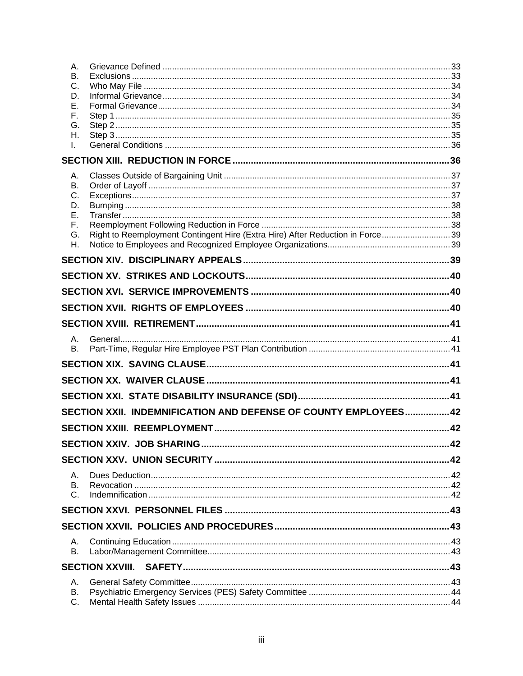| Α.<br>В.<br>C.<br>D.<br>Е.<br>F.<br>G.<br>Η.<br>I.                                  |    |
|-------------------------------------------------------------------------------------|----|
|                                                                                     |    |
| Α.<br>В.                                                                            |    |
| C.                                                                                  |    |
| D.                                                                                  |    |
| Е.<br>F.                                                                            |    |
| Right to Reemployment Contingent Hire (Extra Hire) After Reduction in Force39<br>G. |    |
| Η.                                                                                  |    |
|                                                                                     |    |
|                                                                                     |    |
|                                                                                     |    |
|                                                                                     |    |
|                                                                                     |    |
| Α.                                                                                  |    |
| Β.                                                                                  |    |
|                                                                                     |    |
|                                                                                     |    |
|                                                                                     |    |
| SECTION XXII. INDEMNIFICATION AND DEFENSE OF COUNTY EMPLOYEES42                     |    |
|                                                                                     |    |
| SECTION XXIV. JOB SHARING                                                           | 42 |
|                                                                                     |    |
| А.                                                                                  |    |
| В.<br>C.                                                                            |    |
|                                                                                     |    |
|                                                                                     |    |
|                                                                                     |    |
| Α.<br>Β.                                                                            |    |
|                                                                                     |    |
| Α.                                                                                  |    |
| В.                                                                                  |    |
| C.                                                                                  |    |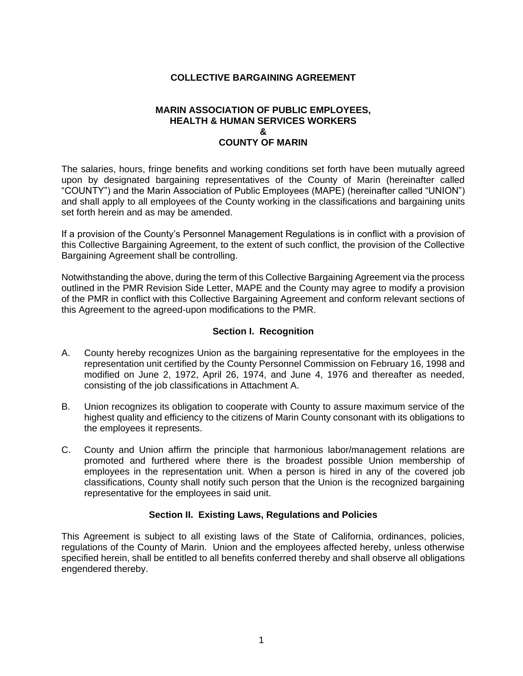## **COLLECTIVE BARGAINING AGREEMENT**

#### **MARIN ASSOCIATION OF PUBLIC EMPLOYEES, HEALTH & HUMAN SERVICES WORKERS & COUNTY OF MARIN**

The salaries, hours, fringe benefits and working conditions set forth have been mutually agreed upon by designated bargaining representatives of the County of Marin (hereinafter called "COUNTY") and the Marin Association of Public Employees (MAPE) (hereinafter called "UNION") and shall apply to all employees of the County working in the classifications and bargaining units set forth herein and as may be amended.

If a provision of the County's Personnel Management Regulations is in conflict with a provision of this Collective Bargaining Agreement, to the extent of such conflict, the provision of the Collective Bargaining Agreement shall be controlling.

Notwithstanding the above, during the term of this Collective Bargaining Agreement via the process outlined in the PMR Revision Side Letter, MAPE and the County may agree to modify a provision of the PMR in conflict with this Collective Bargaining Agreement and conform relevant sections of this Agreement to the agreed-upon modifications to the PMR.

## **Section I. Recognition**

- <span id="page-5-0"></span>A. County hereby recognizes Union as the bargaining representative for the employees in the representation unit certified by the County Personnel Commission on February 16, 1998 and modified on June 2, 1972, April 26, 1974, and June 4, 1976 and thereafter as needed, consisting of the job classifications in Attachment A.
- B. Union recognizes its obligation to cooperate with County to assure maximum service of the highest quality and efficiency to the citizens of Marin County consonant with its obligations to the employees it represents.
- C. County and Union affirm the principle that harmonious labor/management relations are promoted and furthered where there is the broadest possible Union membership of employees in the representation unit. When a person is hired in any of the covered job classifications, County shall notify such person that the Union is the recognized bargaining representative for the employees in said unit.

## **Section II. Existing Laws, Regulations and Policies**

<span id="page-5-1"></span>This Agreement is subject to all existing laws of the State of California, ordinances, policies, regulations of the County of Marin. Union and the employees affected hereby, unless otherwise specified herein, shall be entitled to all benefits conferred thereby and shall observe all obligations engendered thereby.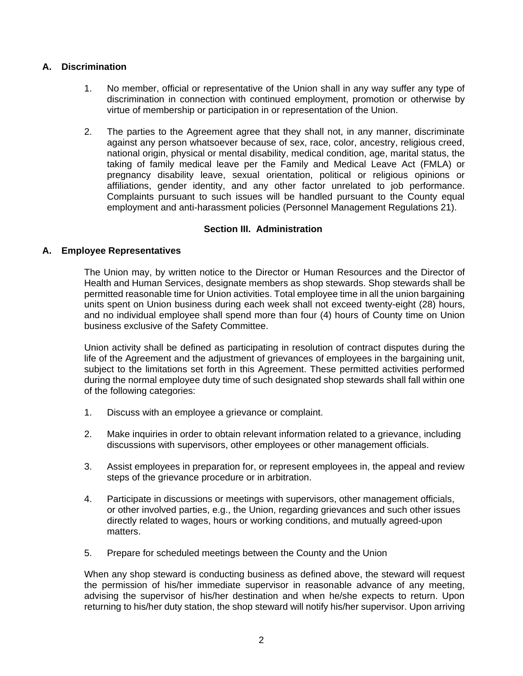## <span id="page-6-0"></span>**A. Discrimination**

- 1. No member, official or representative of the Union shall in any way suffer any type of discrimination in connection with continued employment, promotion or otherwise by virtue of membership or participation in or representation of the Union.
- 2. The parties to the Agreement agree that they shall not, in any manner, discriminate against any person whatsoever because of sex, race, color, ancestry, religious creed, national origin, physical or mental disability, medical condition, age, marital status, the taking of family medical leave per the Family and Medical Leave Act (FMLA) or pregnancy disability leave, sexual orientation, political or religious opinions or affiliations, gender identity, and any other factor unrelated to job performance. Complaints pursuant to such issues will be handled pursuant to the County equal employment and anti-harassment policies (Personnel Management Regulations 21).

## **Section III. Administration**

## <span id="page-6-2"></span><span id="page-6-1"></span>**A. Employee Representatives**

The Union may, by written notice to the Director or Human Resources and the Director of Health and Human Services, designate members as shop stewards. Shop stewards shall be permitted reasonable time for Union activities. Total employee time in all the union bargaining units spent on Union business during each week shall not exceed twenty-eight (28) hours, and no individual employee shall spend more than four (4) hours of County time on Union business exclusive of the Safety Committee.

Union activity shall be defined as participating in resolution of contract disputes during the life of the Agreement and the adjustment of grievances of employees in the bargaining unit, subject to the limitations set forth in this Agreement. These permitted activities performed during the normal employee duty time of such designated shop stewards shall fall within one of the following categories:

- 1. Discuss with an employee a grievance or complaint.
- 2. Make inquiries in order to obtain relevant information related to a grievance, including discussions with supervisors, other employees or other management officials.
- 3. Assist employees in preparation for, or represent employees in, the appeal and review steps of the grievance procedure or in arbitration.
- 4. Participate in discussions or meetings with supervisors, other management officials, or other involved parties, e.g., the Union, regarding grievances and such other issues directly related to wages, hours or working conditions, and mutually agreed-upon matters.
- 5. Prepare for scheduled meetings between the County and the Union

When any shop steward is conducting business as defined above, the steward will request the permission of his/her immediate supervisor in reasonable advance of any meeting, advising the supervisor of his/her destination and when he/she expects to return. Upon returning to his/her duty station, the shop steward will notify his/her supervisor. Upon arriving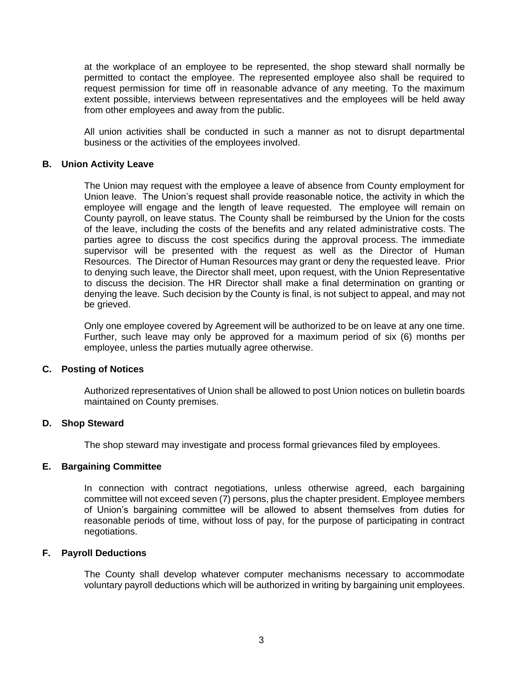at the workplace of an employee to be represented, the shop steward shall normally be permitted to contact the employee. The represented employee also shall be required to request permission for time off in reasonable advance of any meeting. To the maximum extent possible, interviews between representatives and the employees will be held away from other employees and away from the public.

All union activities shall be conducted in such a manner as not to disrupt departmental business or the activities of the employees involved.

#### <span id="page-7-0"></span>**B. Union Activity Leave**

The Union may request with the employee a leave of absence from County employment for Union leave. The Union's request shall provide reasonable notice, the activity in which the employee will engage and the length of leave requested. The employee will remain on County payroll, on leave status. The County shall be reimbursed by the Union for the costs of the leave, including the costs of the benefits and any related administrative costs. The parties agree to discuss the cost specifics during the approval process. The immediate supervisor will be presented with the request as well as the Director of Human Resources. The Director of Human Resources may grant or deny the requested leave. Prior to denying such leave, the Director shall meet, upon request, with the Union Representative to discuss the decision. The HR Director shall make a final determination on granting or denying the leave. Such decision by the County is final, is not subject to appeal, and may not be grieved.

Only one employee covered by Agreement will be authorized to be on leave at any one time. Further, such leave may only be approved for a maximum period of six (6) months per employee, unless the parties mutually agree otherwise.

#### <span id="page-7-1"></span>**C. Posting of Notices**

Authorized representatives of Union shall be allowed to post Union notices on bulletin boards maintained on County premises.

#### <span id="page-7-2"></span>**D. Shop Steward**

The shop steward may investigate and process formal grievances filed by employees.

#### <span id="page-7-3"></span>**E. Bargaining Committee**

In connection with contract negotiations, unless otherwise agreed, each bargaining committee will not exceed seven (7) persons, plus the chapter president. Employee members of Union's bargaining committee will be allowed to absent themselves from duties for reasonable periods of time, without loss of pay, for the purpose of participating in contract negotiations.

#### <span id="page-7-4"></span>**F. Payroll Deductions**

The County shall develop whatever computer mechanisms necessary to accommodate voluntary payroll deductions which will be authorized in writing by bargaining unit employees.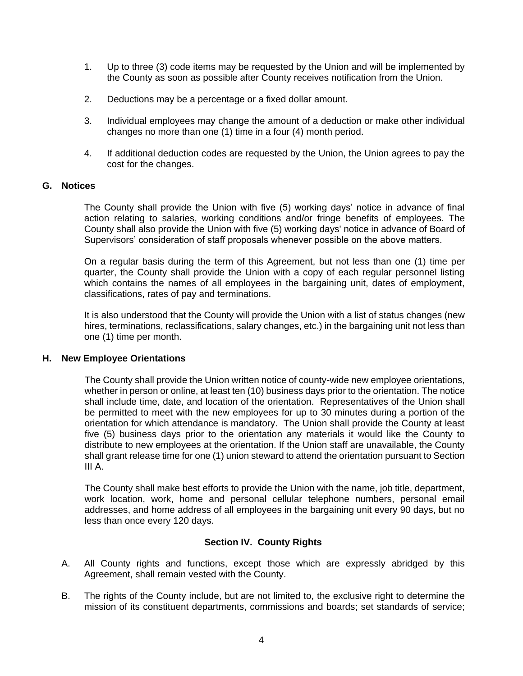- 1. Up to three (3) code items may be requested by the Union and will be implemented by the County as soon as possible after County receives notification from the Union.
- 2. Deductions may be a percentage or a fixed dollar amount.
- 3. Individual employees may change the amount of a deduction or make other individual changes no more than one (1) time in a four (4) month period.
- 4. If additional deduction codes are requested by the Union, the Union agrees to pay the cost for the changes.

#### <span id="page-8-0"></span>**G. Notices**

The County shall provide the Union with five (5) working days' notice in advance of final action relating to salaries, working conditions and/or fringe benefits of employees. The County shall also provide the Union with five (5) working days' notice in advance of Board of Supervisors' consideration of staff proposals whenever possible on the above matters.

On a regular basis during the term of this Agreement, but not less than one (1) time per quarter, the County shall provide the Union with a copy of each regular personnel listing which contains the names of all employees in the bargaining unit, dates of employment, classifications, rates of pay and terminations.

It is also understood that the County will provide the Union with a list of status changes (new hires, terminations, reclassifications, salary changes, etc.) in the bargaining unit not less than one (1) time per month.

#### <span id="page-8-1"></span>**H. New Employee Orientations**

The County shall provide the Union written notice of county-wide new employee orientations, whether in person or online, at least ten (10) business days prior to the orientation. The notice shall include time, date, and location of the orientation. Representatives of the Union shall be permitted to meet with the new employees for up to 30 minutes during a portion of the orientation for which attendance is mandatory. The Union shall provide the County at least five (5) business days prior to the orientation any materials it would like the County to distribute to new employees at the orientation. If the Union staff are unavailable, the County shall grant release time for one (1) union steward to attend the orientation pursuant to Section III A.

The County shall make best efforts to provide the Union with the name, job title, department, work location, work, home and personal cellular telephone numbers, personal email addresses, and home address of all employees in the bargaining unit every 90 days, but no less than once every 120 days.

## **Section IV. County Rights**

- <span id="page-8-2"></span>A. All County rights and functions, except those which are expressly abridged by this Agreement, shall remain vested with the County.
- B. The rights of the County include, but are not limited to, the exclusive right to determine the mission of its constituent departments, commissions and boards; set standards of service;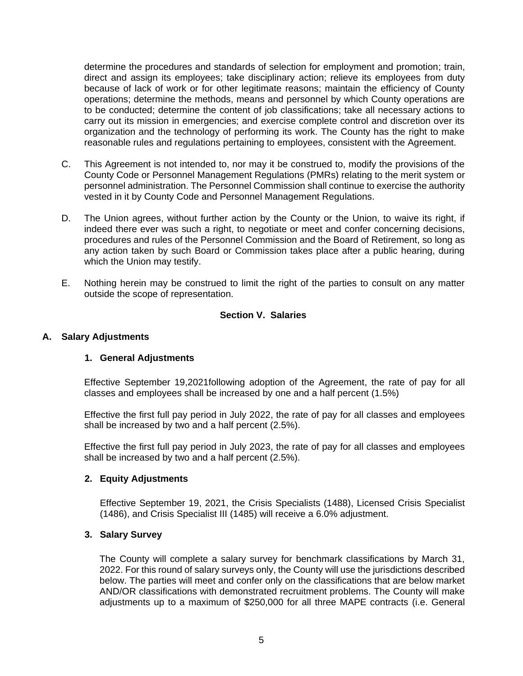determine the procedures and standards of selection for employment and promotion; train, direct and assign its employees; take disciplinary action; relieve its employees from duty because of lack of work or for other legitimate reasons; maintain the efficiency of County operations; determine the methods, means and personnel by which County operations are to be conducted; determine the content of job classifications; take all necessary actions to carry out its mission in emergencies; and exercise complete control and discretion over its organization and the technology of performing its work. The County has the right to make reasonable rules and regulations pertaining to employees, consistent with the Agreement.

- C. This Agreement is not intended to, nor may it be construed to, modify the provisions of the County Code or Personnel Management Regulations (PMRs) relating to the merit system or personnel administration. The Personnel Commission shall continue to exercise the authority vested in it by County Code and Personnel Management Regulations.
- D. The Union agrees, without further action by the County or the Union, to waive its right, if indeed there ever was such a right, to negotiate or meet and confer concerning decisions, procedures and rules of the Personnel Commission and the Board of Retirement, so long as any action taken by such Board or Commission takes place after a public hearing, during which the Union may testify.
- E. Nothing herein may be construed to limit the right of the parties to consult on any matter outside the scope of representation.

# **Section V. Salaries**

#### <span id="page-9-2"></span><span id="page-9-1"></span><span id="page-9-0"></span>**A. Salary Adjustments**

#### **1. General Adjustments**

Effective September 19,2021following adoption of the Agreement, the rate of pay for all classes and employees shall be increased by one and a half percent (1.5%)

Effective the first full pay period in July 2022, the rate of pay for all classes and employees shall be increased by two and a half percent (2.5%).

Effective the first full pay period in July 2023, the rate of pay for all classes and employees shall be increased by two and a half percent (2.5%).

#### <span id="page-9-3"></span>**2. Equity Adjustments**

Effective September 19, 2021, the Crisis Specialists (1488), Licensed Crisis Specialist (1486), and Crisis Specialist III (1485) will receive a 6.0% adjustment.

#### <span id="page-9-4"></span>**3. Salary Survey**

The County will complete a salary survey for benchmark classifications by March 31, 2022. For this round of salary surveys only, the County will use the jurisdictions described below. The parties will meet and confer only on the classifications that are below market AND/OR classifications with demonstrated recruitment problems. The County will make adjustments up to a maximum of \$250,000 for all three MAPE contracts (i.e. General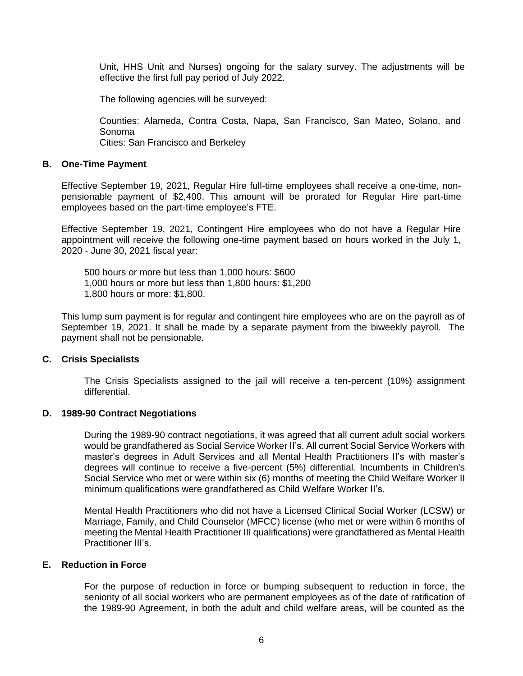Unit, HHS Unit and Nurses) ongoing for the salary survey. The adjustments will be effective the first full pay period of July 2022.

The following agencies will be surveyed:

Counties: Alameda, Contra Costa, Napa, San Francisco, San Mateo, Solano, and Sonoma

Cities: San Francisco and Berkeley

#### <span id="page-10-0"></span>**B. One-Time Payment**

Effective September 19, 2021, Regular Hire full-time employees shall receive a one-time, nonpensionable payment of \$2,400. This amount will be prorated for Regular Hire part-time employees based on the part-time employee's FTE.

Effective September 19, 2021, Contingent Hire employees who do not have a Regular Hire appointment will receive the following one-time payment based on hours worked in the July 1, 2020 - June 30, 2021 fiscal year:

500 hours or more but less than 1,000 hours: \$600 1,000 hours or more but less than 1,800 hours: \$1,200 1,800 hours or more: \$1,800.

This lump sum payment is for regular and contingent hire employees who are on the payroll as of September 19, 2021. It shall be made by a separate payment from the biweekly payroll. The payment shall not be pensionable.

## <span id="page-10-1"></span>**C. Crisis Specialists**

The Crisis Specialists assigned to the jail will receive a ten-percent (10%) assignment differential.

#### <span id="page-10-2"></span>**D. 1989-90 Contract Negotiations**

During the 1989-90 contract negotiations, it was agreed that all current adult social workers would be grandfathered as Social Service Worker II's. All current Social Service Workers with master's degrees in Adult Services and all Mental Health Practitioners II's with master's degrees will continue to receive a five-percent (5%) differential. Incumbents in Children's Social Service who met or were within six (6) months of meeting the Child Welfare Worker II minimum qualifications were grandfathered as Child Welfare Worker II's.

Mental Health Practitioners who did not have a Licensed Clinical Social Worker (LCSW) or Marriage, Family, and Child Counselor (MFCC) license (who met or were within 6 months of meeting the Mental Health Practitioner III qualifications) were grandfathered as Mental Health Practitioner III's.

#### <span id="page-10-3"></span>**E. Reduction in Force**

For the purpose of reduction in force or bumping subsequent to reduction in force, the seniority of all social workers who are permanent employees as of the date of ratification of the 1989-90 Agreement, in both the adult and child welfare areas, will be counted as the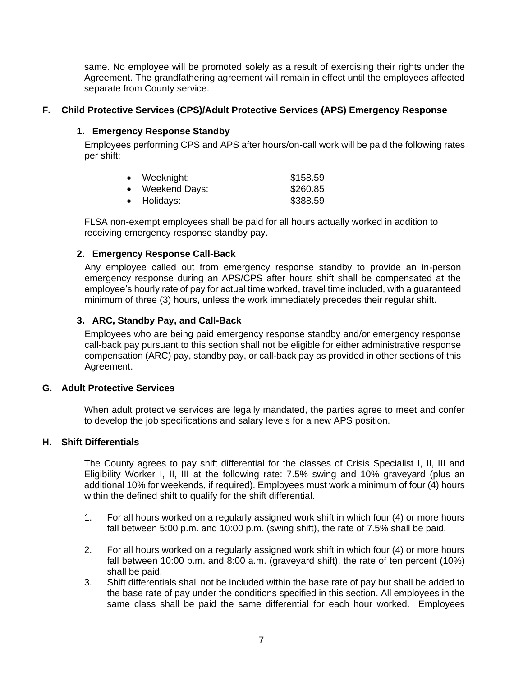same. No employee will be promoted solely as a result of exercising their rights under the Agreement. The grandfathering agreement will remain in effect until the employees affected separate from County service.

## <span id="page-11-0"></span>**F. Child Protective Services (CPS)/Adult Protective Services (APS) Emergency Response**

#### <span id="page-11-1"></span>**1. Emergency Response Standby**

Employees performing CPS and APS after hours/on-call work will be paid the following rates per shift:

| Weeknight:    | \$158.59 |
|---------------|----------|
| Weekend Days: | \$260.85 |
| • Holidays:   | \$388.59 |

FLSA non-exempt employees shall be paid for all hours actually worked in addition to receiving emergency response standby pay.

#### <span id="page-11-2"></span>**2. Emergency Response Call-Back**

Any employee called out from emergency response standby to provide an in-person emergency response during an APS/CPS after hours shift shall be compensated at the employee's hourly rate of pay for actual time worked, travel time included, with a guaranteed minimum of three (3) hours, unless the work immediately precedes their regular shift.

#### <span id="page-11-3"></span>**3. ARC, Standby Pay, and Call-Back**

Employees who are being paid emergency response standby and/or emergency response call-back pay pursuant to this section shall not be eligible for either administrative response compensation (ARC) pay, standby pay, or call-back pay as provided in other sections of this Agreement.

#### <span id="page-11-4"></span>**G. Adult Protective Services**

When adult protective services are legally mandated, the parties agree to meet and confer to develop the job specifications and salary levels for a new APS position.

#### <span id="page-11-5"></span>**H. Shift Differentials**

The County agrees to pay shift differential for the classes of Crisis Specialist I, II, III and Eligibility Worker I, II, III at the following rate: 7.5% swing and 10% graveyard (plus an additional 10% for weekends, if required). Employees must work a minimum of four (4) hours within the defined shift to qualify for the shift differential.

- 1. For all hours worked on a regularly assigned work shift in which four (4) or more hours fall between 5:00 p.m. and 10:00 p.m. (swing shift), the rate of 7.5% shall be paid.
- 2. For all hours worked on a regularly assigned work shift in which four (4) or more hours fall between 10:00 p.m. and 8:00 a.m. (graveyard shift), the rate of ten percent (10%) shall be paid.
- 3. Shift differentials shall not be included within the base rate of pay but shall be added to the base rate of pay under the conditions specified in this section. All employees in the same class shall be paid the same differential for each hour worked. Employees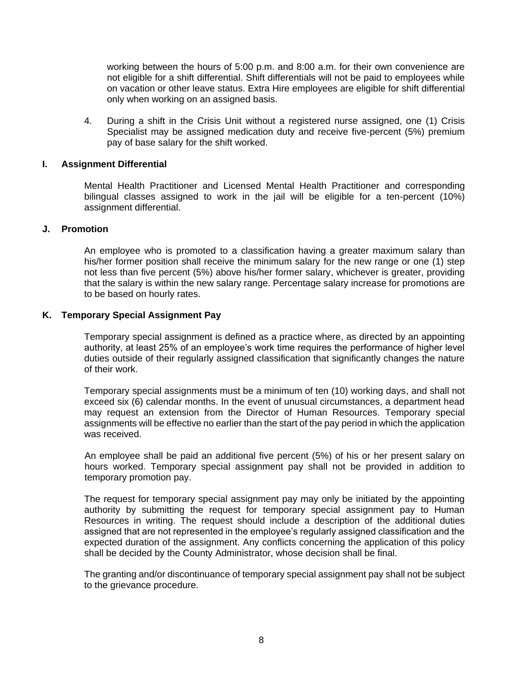working between the hours of 5:00 p.m. and 8:00 a.m. for their own convenience are not eligible for a shift differential. Shift differentials will not be paid to employees while on vacation or other leave status. Extra Hire employees are eligible for shift differential only when working on an assigned basis.

4. During a shift in the Crisis Unit without a registered nurse assigned, one (1) Crisis Specialist may be assigned medication duty and receive five-percent (5%) premium pay of base salary for the shift worked.

#### <span id="page-12-0"></span>**I. Assignment Differential**

Mental Health Practitioner and Licensed Mental Health Practitioner and corresponding bilingual classes assigned to work in the jail will be eligible for a ten-percent (10%) assignment differential.

#### <span id="page-12-1"></span>**J. Promotion**

An employee who is promoted to a classification having a greater maximum salary than his/her former position shall receive the minimum salary for the new range or one (1) step not less than five percent (5%) above his/her former salary, whichever is greater, providing that the salary is within the new salary range. Percentage salary increase for promotions are to be based on hourly rates.

#### <span id="page-12-2"></span>**K. Temporary Special Assignment Pay**

Temporary special assignment is defined as a practice where, as directed by an appointing authority, at least 25% of an employee's work time requires the performance of higher level duties outside of their regularly assigned classification that significantly changes the nature of their work.

Temporary special assignments must be a minimum of ten (10) working days, and shall not exceed six (6) calendar months. In the event of unusual circumstances, a department head may request an extension from the Director of Human Resources. Temporary special assignments will be effective no earlier than the start of the pay period in which the application was received.

An employee shall be paid an additional five percent (5%) of his or her present salary on hours worked. Temporary special assignment pay shall not be provided in addition to temporary promotion pay.

The request for temporary special assignment pay may only be initiated by the appointing authority by submitting the request for temporary special assignment pay to Human Resources in writing. The request should include a description of the additional duties assigned that are not represented in the employee's regularly assigned classification and the expected duration of the assignment. Any conflicts concerning the application of this policy shall be decided by the County Administrator, whose decision shall be final.

The granting and/or discontinuance of temporary special assignment pay shall not be subject to the grievance procedure.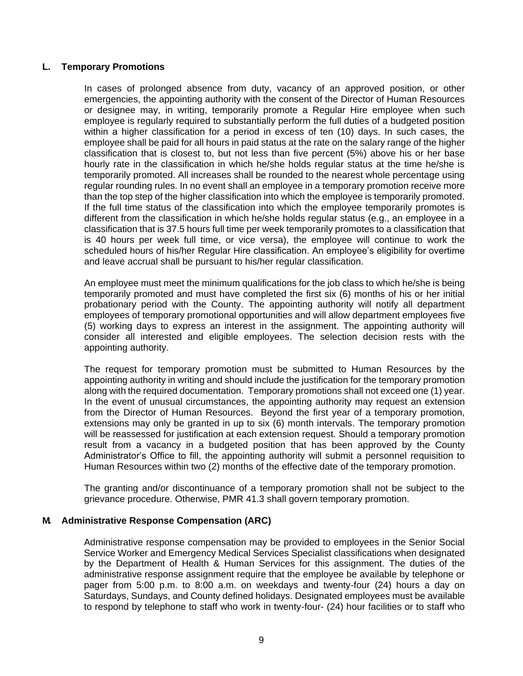### <span id="page-13-0"></span>**L. Temporary Promotions**

In cases of prolonged absence from duty, vacancy of an approved position, or other emergencies, the appointing authority with the consent of the Director of Human Resources or designee may, in writing, temporarily promote a Regular Hire employee when such employee is regularly required to substantially perform the full duties of a budgeted position within a higher classification for a period in excess of ten (10) days. In such cases, the employee shall be paid for all hours in paid status at the rate on the salary range of the higher classification that is closest to, but not less than five percent (5%) above his or her base hourly rate in the classification in which he/she holds regular status at the time he/she is temporarily promoted. All increases shall be rounded to the nearest whole percentage using regular rounding rules. In no event shall an employee in a temporary promotion receive more than the top step of the higher classification into which the employee is temporarily promoted. If the full time status of the classification into which the employee temporarily promotes is different from the classification in which he/she holds regular status (e.g., an employee in a classification that is 37.5 hours full time per week temporarily promotes to a classification that is 40 hours per week full time, or vice versa), the employee will continue to work the scheduled hours of his/her Regular Hire classification. An employee's eligibility for overtime and leave accrual shall be pursuant to his/her regular classification.

An employee must meet the minimum qualifications for the job class to which he/she is being temporarily promoted and must have completed the first six (6) months of his or her initial probationary period with the County. The appointing authority will notify all department employees of temporary promotional opportunities and will allow department employees five (5) working days to express an interest in the assignment. The appointing authority will consider all interested and eligible employees. The selection decision rests with the appointing authority.

The request for temporary promotion must be submitted to Human Resources by the appointing authority in writing and should include the justification for the temporary promotion along with the required documentation. Temporary promotions shall not exceed one (1) year. In the event of unusual circumstances, the appointing authority may request an extension from the Director of Human Resources. Beyond the first year of a temporary promotion, extensions may only be granted in up to six (6) month intervals. The temporary promotion will be reassessed for justification at each extension request. Should a temporary promotion result from a vacancy in a budgeted position that has been approved by the County Administrator's Office to fill, the appointing authority will submit a personnel requisition to Human Resources within two (2) months of the effective date of the temporary promotion.

The granting and/or discontinuance of a temporary promotion shall not be subject to the grievance procedure. Otherwise, PMR 41.3 shall govern temporary promotion.

## <span id="page-13-1"></span>**M. Administrative Response Compensation (ARC)**

Administrative response compensation may be provided to employees in the Senior Social Service Worker and Emergency Medical Services Specialist classifications when designated by the Department of Health & Human Services for this assignment. The duties of the administrative response assignment require that the employee be available by telephone or pager from 5:00 p.m. to 8:00 a.m. on weekdays and twenty-four (24) hours a day on Saturdays, Sundays, and County defined holidays. Designated employees must be available to respond by telephone to staff who work in twenty-four- (24) hour facilities or to staff who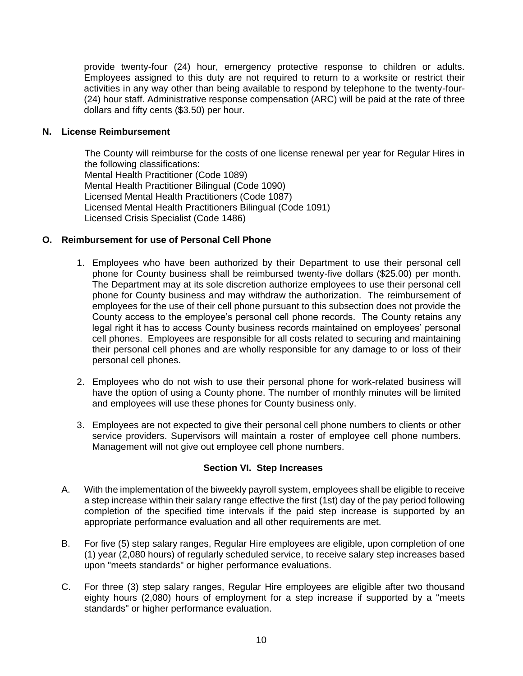provide twenty-four (24) hour, emergency protective response to children or adults. Employees assigned to this duty are not required to return to a worksite or restrict their activities in any way other than being available to respond by telephone to the twenty-four- (24) hour staff. Administrative response compensation (ARC) will be paid at the rate of three dollars and fifty cents (\$3.50) per hour.

## <span id="page-14-0"></span>**N. License Reimbursement**

The County will reimburse for the costs of one license renewal per year for Regular Hires in the following classifications: Mental Health Practitioner (Code 1089) Mental Health Practitioner Bilingual (Code 1090) Licensed Mental Health Practitioners (Code 1087) Licensed Mental Health Practitioners Bilingual (Code 1091) Licensed Crisis Specialist (Code 1486)

## <span id="page-14-1"></span>**O. Reimbursement for use of Personal Cell Phone**

- 1. Employees who have been authorized by their Department to use their personal cell phone for County business shall be reimbursed twenty-five dollars (\$25.00) per month. The Department may at its sole discretion authorize employees to use their personal cell phone for County business and may withdraw the authorization. The reimbursement of employees for the use of their cell phone pursuant to this subsection does not provide the County access to the employee's personal cell phone records. The County retains any legal right it has to access County business records maintained on employees' personal cell phones. Employees are responsible for all costs related to securing and maintaining their personal cell phones and are wholly responsible for any damage to or loss of their personal cell phones.
- 2. Employees who do not wish to use their personal phone for work-related business will have the option of using a County phone. The number of monthly minutes will be limited and employees will use these phones for County business only.
- 3. Employees are not expected to give their personal cell phone numbers to clients or other service providers. Supervisors will maintain a roster of employee cell phone numbers. Management will not give out employee cell phone numbers.

## **Section VI. Step Increases**

- <span id="page-14-2"></span>A. With the implementation of the biweekly payroll system, employees shall be eligible to receive a step increase within their salary range effective the first (1st) day of the pay period following completion of the specified time intervals if the paid step increase is supported by an appropriate performance evaluation and all other requirements are met.
- B. For five (5) step salary ranges, Regular Hire employees are eligible, upon completion of one (1) year (2,080 hours) of regularly scheduled service, to receive salary step increases based upon "meets standards" or higher performance evaluations.
- C. For three (3) step salary ranges, Regular Hire employees are eligible after two thousand eighty hours (2,080) hours of employment for a step increase if supported by a "meets standards" or higher performance evaluation.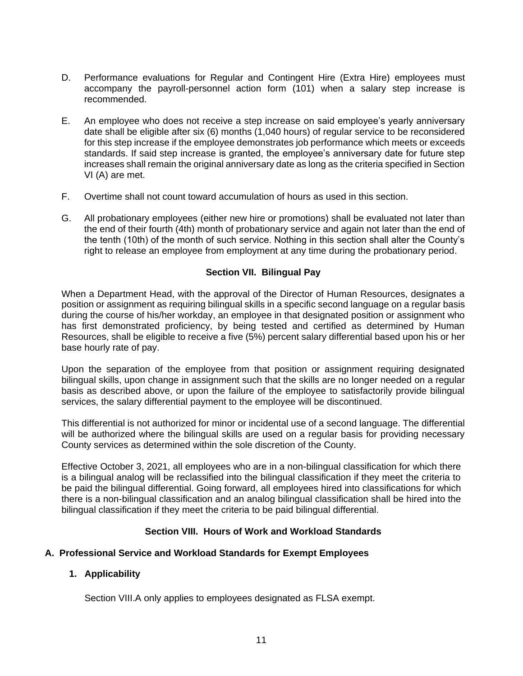- D. Performance evaluations for Regular and Contingent Hire (Extra Hire) employees must accompany the payroll-personnel action form (101) when a salary step increase is recommended.
- E. An employee who does not receive a step increase on said employee's yearly anniversary date shall be eligible after six (6) months (1,040 hours) of regular service to be reconsidered for this step increase if the employee demonstrates job performance which meets or exceeds standards. If said step increase is granted, the employee's anniversary date for future step increases shall remain the original anniversary date as long as the criteria specified in Section VI (A) are met.
- F. Overtime shall not count toward accumulation of hours as used in this section.
- G. All probationary employees (either new hire or promotions) shall be evaluated not later than the end of their fourth (4th) month of probationary service and again not later than the end of the tenth (10th) of the month of such service. Nothing in this section shall alter the County's right to release an employee from employment at any time during the probationary period.

## **Section VII. Bilingual Pay**

<span id="page-15-0"></span>When a Department Head, with the approval of the Director of Human Resources, designates a position or assignment as requiring bilingual skills in a specific second language on a regular basis during the course of his/her workday, an employee in that designated position or assignment who has first demonstrated proficiency, by being tested and certified as determined by Human Resources, shall be eligible to receive a five (5%) percent salary differential based upon his or her base hourly rate of pay.

Upon the separation of the employee from that position or assignment requiring designated bilingual skills, upon change in assignment such that the skills are no longer needed on a regular basis as described above, or upon the failure of the employee to satisfactorily provide bilingual services, the salary differential payment to the employee will be discontinued.

This differential is not authorized for minor or incidental use of a second language. The differential will be authorized where the bilingual skills are used on a regular basis for providing necessary County services as determined within the sole discretion of the County.

Effective October 3, 2021, all employees who are in a non-bilingual classification for which there is a bilingual analog will be reclassified into the bilingual classification if they meet the criteria to be paid the bilingual differential. Going forward, all employees hired into classifications for which there is a non-bilingual classification and an analog bilingual classification shall be hired into the bilingual classification if they meet the criteria to be paid bilingual differential.

# **Section VIII. Hours of Work and Workload Standards**

## <span id="page-15-2"></span><span id="page-15-1"></span>**A. Professional Service and Workload Standards for Exempt Employees**

## <span id="page-15-3"></span>**1. Applicability**

Section VIII.A only applies to employees designated as FLSA exempt.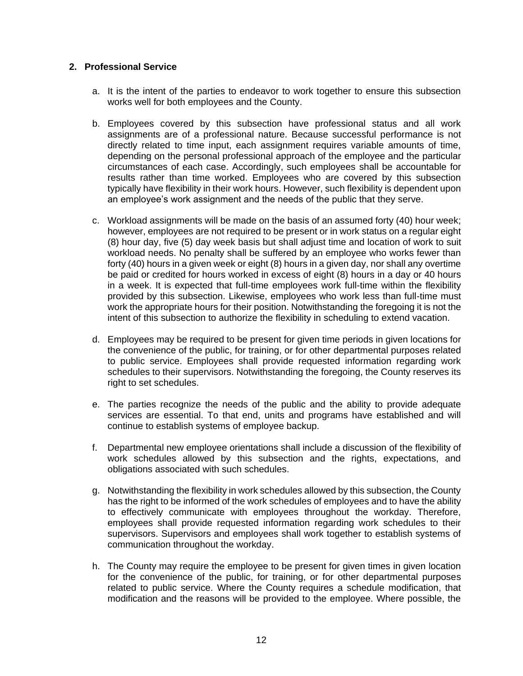#### <span id="page-16-0"></span>**2. Professional Service**

- a. It is the intent of the parties to endeavor to work together to ensure this subsection works well for both employees and the County.
- b. Employees covered by this subsection have professional status and all work assignments are of a professional nature. Because successful performance is not directly related to time input, each assignment requires variable amounts of time, depending on the personal professional approach of the employee and the particular circumstances of each case. Accordingly, such employees shall be accountable for results rather than time worked. Employees who are covered by this subsection typically have flexibility in their work hours. However, such flexibility is dependent upon an employee's work assignment and the needs of the public that they serve.
- c. Workload assignments will be made on the basis of an assumed forty (40) hour week; however, employees are not required to be present or in work status on a regular eight (8) hour day, five (5) day week basis but shall adjust time and location of work to suit workload needs. No penalty shall be suffered by an employee who works fewer than forty (40) hours in a given week or eight (8) hours in a given day, nor shall any overtime be paid or credited for hours worked in excess of eight (8) hours in a day or 40 hours in a week. It is expected that full-time employees work full-time within the flexibility provided by this subsection. Likewise, employees who work less than full-time must work the appropriate hours for their position. Notwithstanding the foregoing it is not the intent of this subsection to authorize the flexibility in scheduling to extend vacation.
- d. Employees may be required to be present for given time periods in given locations for the convenience of the public, for training, or for other departmental purposes related to public service. Employees shall provide requested information regarding work schedules to their supervisors. Notwithstanding the foregoing, the County reserves its right to set schedules.
- e. The parties recognize the needs of the public and the ability to provide adequate services are essential. To that end, units and programs have established and will continue to establish systems of employee backup.
- f. Departmental new employee orientations shall include a discussion of the flexibility of work schedules allowed by this subsection and the rights, expectations, and obligations associated with such schedules.
- g. Notwithstanding the flexibility in work schedules allowed by this subsection, the County has the right to be informed of the work schedules of employees and to have the ability to effectively communicate with employees throughout the workday. Therefore, employees shall provide requested information regarding work schedules to their supervisors. Supervisors and employees shall work together to establish systems of communication throughout the workday.
- h. The County may require the employee to be present for given times in given location for the convenience of the public, for training, or for other departmental purposes related to public service. Where the County requires a schedule modification, that modification and the reasons will be provided to the employee. Where possible, the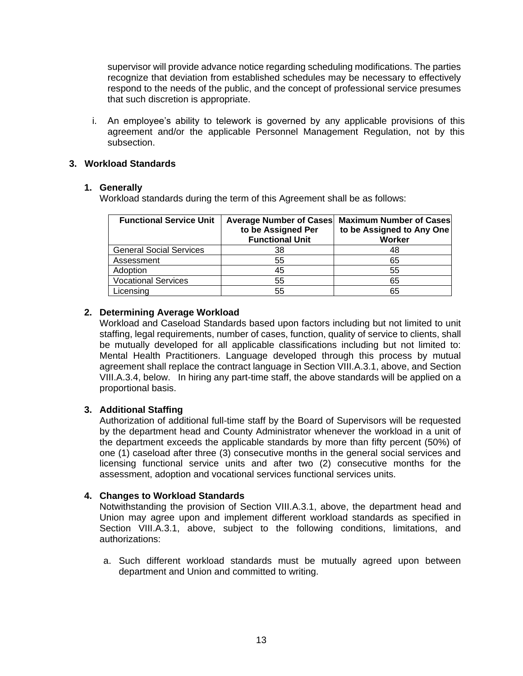supervisor will provide advance notice regarding scheduling modifications. The parties recognize that deviation from established schedules may be necessary to effectively respond to the needs of the public, and the concept of professional service presumes that such discretion is appropriate.

i. An employee's ability to telework is governed by any applicable provisions of this agreement and/or the applicable Personnel Management Regulation, not by this subsection.

### <span id="page-17-0"></span>**3. Workload Standards**

#### **1. Generally**

Workload standards during the term of this Agreement shall be as follows:

| <b>Functional Service Unit</b> | <b>Average Number of Cases</b><br>to be Assigned Per<br><b>Functional Unit</b> | <b>Maximum Number of Cases</b><br>to be Assigned to Any One<br>Worker |
|--------------------------------|--------------------------------------------------------------------------------|-----------------------------------------------------------------------|
| <b>General Social Services</b> | 38                                                                             | 48                                                                    |
| Assessment                     | 55                                                                             | 65                                                                    |
| Adoption                       | 45                                                                             | 55                                                                    |
| <b>Vocational Services</b>     | 55                                                                             | 65                                                                    |
| Licensing                      | 55                                                                             | 65                                                                    |

## **2. Determining Average Workload**

Workload and Caseload Standards based upon factors including but not limited to unit staffing, legal requirements, number of cases, function, quality of service to clients, shall be mutually developed for all applicable classifications including but not limited to: Mental Health Practitioners. Language developed through this process by mutual agreement shall replace the contract language in Section VIII.A.3.1, above, and Section VIII.A.3.4, below. In hiring any part-time staff, the above standards will be applied on a proportional basis.

## **3. Additional Staffing**

Authorization of additional full-time staff by the Board of Supervisors will be requested by the department head and County Administrator whenever the workload in a unit of the department exceeds the applicable standards by more than fifty percent (50%) of one (1) caseload after three (3) consecutive months in the general social services and licensing functional service units and after two (2) consecutive months for the assessment, adoption and vocational services functional services units.

## **4. Changes to Workload Standards**

Notwithstanding the provision of Section VIII.A.3.1, above, the department head and Union may agree upon and implement different workload standards as specified in Section VIII.A.3.1, above, subject to the following conditions, limitations, and authorizations:

a. Such different workload standards must be mutually agreed upon between department and Union and committed to writing.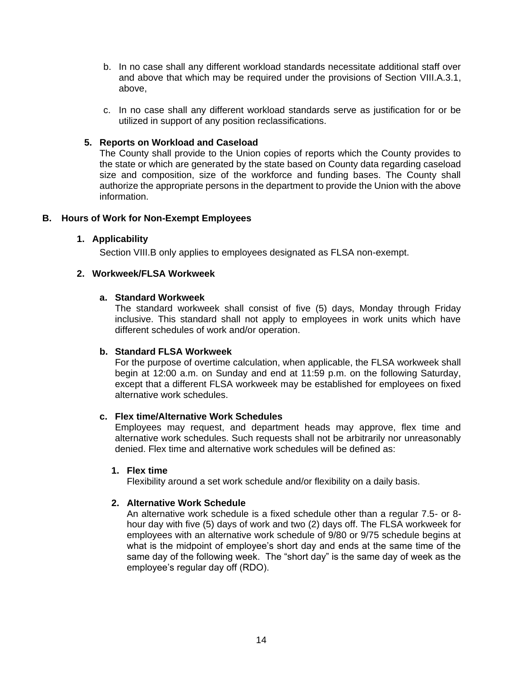- b. In no case shall any different workload standards necessitate additional staff over and above that which may be required under the provisions of Section VIII.A.3.1, above,
- c. In no case shall any different workload standards serve as justification for or be utilized in support of any position reclassifications.

## **5. Reports on Workload and Caseload**

The County shall provide to the Union copies of reports which the County provides to the state or which are generated by the state based on County data regarding caseload size and composition, size of the workforce and funding bases. The County shall authorize the appropriate persons in the department to provide the Union with the above information.

#### <span id="page-18-1"></span><span id="page-18-0"></span>**B. Hours of Work for Non-Exempt Employees**

#### **1. Applicability**

Section VIII.B only applies to employees designated as FLSA non-exempt.

### <span id="page-18-2"></span>**2. Workweek/FLSA Workweek**

#### **a. Standard Workweek**

The standard workweek shall consist of five (5) days, Monday through Friday inclusive. This standard shall not apply to employees in work units which have different schedules of work and/or operation.

#### **b. Standard FLSA Workweek**

For the purpose of overtime calculation, when applicable, the FLSA workweek shall begin at 12:00 a.m. on Sunday and end at 11:59 p.m. on the following Saturday, except that a different FLSA workweek may be established for employees on fixed alternative work schedules.

#### **c. Flex time/Alternative Work Schedules**

Employees may request, and department heads may approve, flex time and alternative work schedules. Such requests shall not be arbitrarily nor unreasonably denied. Flex time and alternative work schedules will be defined as:

#### **1. Flex time**

Flexibility around a set work schedule and/or flexibility on a daily basis.

## **2. Alternative Work Schedule**

An alternative work schedule is a fixed schedule other than a regular 7.5- or 8 hour day with five (5) days of work and two (2) days off. The FLSA workweek for employees with an alternative work schedule of 9/80 or 9/75 schedule begins at what is the midpoint of employee's short day and ends at the same time of the same day of the following week. The "short day" is the same day of week as the employee's regular day off (RDO).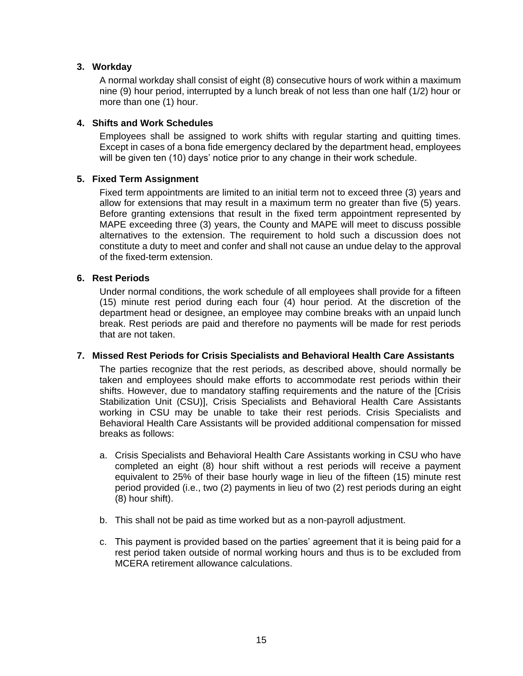### <span id="page-19-0"></span>**3. Workday**

A normal workday shall consist of eight (8) consecutive hours of work within a maximum nine (9) hour period, interrupted by a lunch break of not less than one half (1/2) hour or more than one (1) hour.

#### <span id="page-19-1"></span>**4. Shifts and Work Schedules**

Employees shall be assigned to work shifts with regular starting and quitting times. Except in cases of a bona fide emergency declared by the department head, employees will be given ten (10) days' notice prior to any change in their work schedule.

#### <span id="page-19-2"></span>**5. Fixed Term Assignment**

Fixed term appointments are limited to an initial term not to exceed three (3) years and allow for extensions that may result in a maximum term no greater than five (5) years. Before granting extensions that result in the fixed term appointment represented by MAPE exceeding three (3) years, the County and MAPE will meet to discuss possible alternatives to the extension. The requirement to hold such a discussion does not constitute a duty to meet and confer and shall not cause an undue delay to the approval of the fixed-term extension.

#### <span id="page-19-3"></span>**6. Rest Periods**

Under normal conditions, the work schedule of all employees shall provide for a fifteen (15) minute rest period during each four (4) hour period. At the discretion of the department head or designee, an employee may combine breaks with an unpaid lunch break. Rest periods are paid and therefore no payments will be made for rest periods that are not taken.

#### <span id="page-19-4"></span>**7. Missed Rest Periods for Crisis Specialists and Behavioral Health Care Assistants**

The parties recognize that the rest periods, as described above, should normally be taken and employees should make efforts to accommodate rest periods within their shifts. However, due to mandatory staffing requirements and the nature of the [Crisis Stabilization Unit (CSU)], Crisis Specialists and Behavioral Health Care Assistants working in CSU may be unable to take their rest periods. Crisis Specialists and Behavioral Health Care Assistants will be provided additional compensation for missed breaks as follows:

- a. Crisis Specialists and Behavioral Health Care Assistants working in CSU who have completed an eight (8) hour shift without a rest periods will receive a payment equivalent to 25% of their base hourly wage in lieu of the fifteen (15) minute rest period provided (i.e., two (2) payments in lieu of two (2) rest periods during an eight (8) hour shift).
- b. This shall not be paid as time worked but as a non-payroll adjustment.
- c. This payment is provided based on the parties' agreement that it is being paid for a rest period taken outside of normal working hours and thus is to be excluded from MCERA retirement allowance calculations.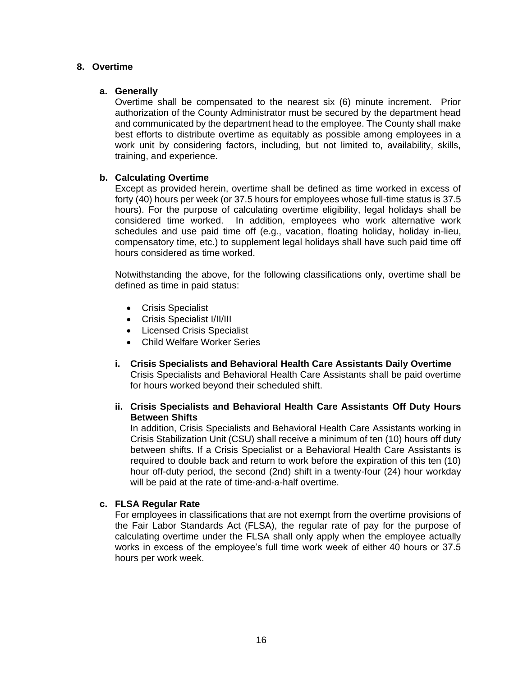#### <span id="page-20-0"></span>**8. Overtime**

#### **a. Generally**

Overtime shall be compensated to the nearest six (6) minute increment. Prior authorization of the County Administrator must be secured by the department head and communicated by the department head to the employee. The County shall make best efforts to distribute overtime as equitably as possible among employees in a work unit by considering factors, including, but not limited to, availability, skills, training, and experience.

#### **b. Calculating Overtime**

Except as provided herein, overtime shall be defined as time worked in excess of forty (40) hours per week (or 37.5 hours for employees whose full-time status is 37.5 hours). For the purpose of calculating overtime eligibility, legal holidays shall be considered time worked. In addition, employees who work alternative work schedules and use paid time off (e.g., vacation, floating holiday, holiday in-lieu, compensatory time, etc.) to supplement legal holidays shall have such paid time off hours considered as time worked.

Notwithstanding the above, for the following classifications only, overtime shall be defined as time in paid status:

- Crisis Specialist
- Crisis Specialist I/II/III
- Licensed Crisis Specialist
- Child Welfare Worker Series
- **i. Crisis Specialists and Behavioral Health Care Assistants Daily Overtime** Crisis Specialists and Behavioral Health Care Assistants shall be paid overtime for hours worked beyond their scheduled shift.

#### **ii. Crisis Specialists and Behavioral Health Care Assistants Off Duty Hours Between Shifts**

In addition, Crisis Specialists and Behavioral Health Care Assistants working in Crisis Stabilization Unit (CSU) shall receive a minimum of ten (10) hours off duty between shifts. If a Crisis Specialist or a Behavioral Health Care Assistants is required to double back and return to work before the expiration of this ten (10) hour off-duty period, the second (2nd) shift in a twenty-four (24) hour workday will be paid at the rate of time-and-a-half overtime.

## **c. FLSA Regular Rate**

For employees in classifications that are not exempt from the overtime provisions of the Fair Labor Standards Act (FLSA), the regular rate of pay for the purpose of calculating overtime under the FLSA shall only apply when the employee actually works in excess of the employee's full time work week of either 40 hours or 37.5 hours per work week.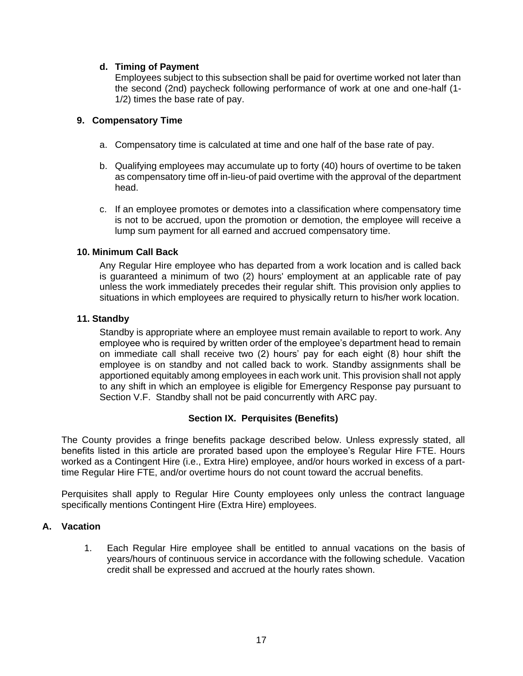### **d. Timing of Payment**

Employees subject to this subsection shall be paid for overtime worked not later than the second (2nd) paycheck following performance of work at one and one-half (1- 1/2) times the base rate of pay.

#### <span id="page-21-0"></span>**9. Compensatory Time**

- a. Compensatory time is calculated at time and one half of the base rate of pay.
- b. Qualifying employees may accumulate up to forty (40) hours of overtime to be taken as compensatory time off in-lieu-of paid overtime with the approval of the department head.
- c. If an employee promotes or demotes into a classification where compensatory time is not to be accrued, upon the promotion or demotion, the employee will receive a lump sum payment for all earned and accrued compensatory time.

#### <span id="page-21-1"></span>**10. Minimum Call Back**

Any Regular Hire employee who has departed from a work location and is called back is guaranteed a minimum of two (2) hours' employment at an applicable rate of pay unless the work immediately precedes their regular shift. This provision only applies to situations in which employees are required to physically return to his/her work location.

#### <span id="page-21-2"></span>**11. Standby**

Standby is appropriate where an employee must remain available to report to work. Any employee who is required by written order of the employee's department head to remain on immediate call shall receive two (2) hours' pay for each eight (8) hour shift the employee is on standby and not called back to work. Standby assignments shall be apportioned equitably among employees in each work unit. This provision shall not apply to any shift in which an employee is eligible for Emergency Response pay pursuant to Section V.F. Standby shall not be paid concurrently with ARC pay.

## **Section IX. Perquisites (Benefits)**

<span id="page-21-3"></span>The County provides a fringe benefits package described below. Unless expressly stated, all benefits listed in this article are prorated based upon the employee's Regular Hire FTE. Hours worked as a Contingent Hire (i.e., Extra Hire) employee, and/or hours worked in excess of a parttime Regular Hire FTE, and/or overtime hours do not count toward the accrual benefits.

Perquisites shall apply to Regular Hire County employees only unless the contract language specifically mentions Contingent Hire (Extra Hire) employees.

#### <span id="page-21-4"></span>**A. Vacation**

1. Each Regular Hire employee shall be entitled to annual vacations on the basis of years/hours of continuous service in accordance with the following schedule. Vacation credit shall be expressed and accrued at the hourly rates shown.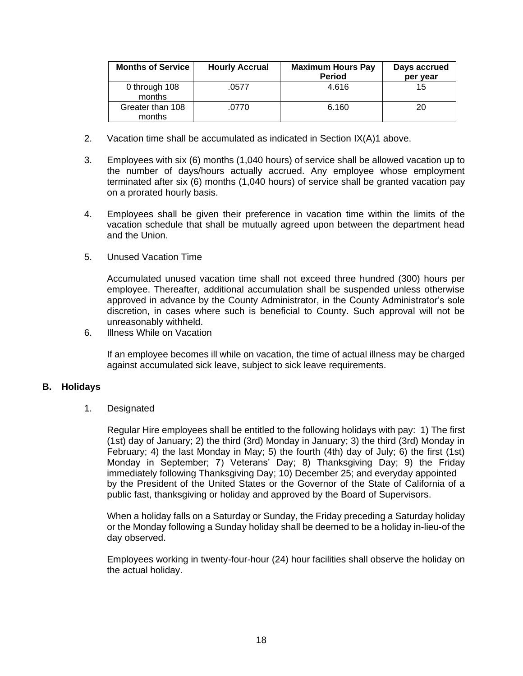| <b>Months of Service</b>   | <b>Hourly Accrual</b> | <b>Maximum Hours Pay</b><br><b>Period</b> | Days accrued<br>per year |
|----------------------------|-----------------------|-------------------------------------------|--------------------------|
| 0 through 108<br>months    | .0577                 | 4.616                                     | 15                       |
| Greater than 108<br>months | .0770                 | 6.160                                     | 20                       |

- 2. Vacation time shall be accumulated as indicated in Section IX(A)1 above.
- 3. Employees with six (6) months (1,040 hours) of service shall be allowed vacation up to the number of days/hours actually accrued. Any employee whose employment terminated after six (6) months (1,040 hours) of service shall be granted vacation pay on a prorated hourly basis.
- 4. Employees shall be given their preference in vacation time within the limits of the vacation schedule that shall be mutually agreed upon between the department head and the Union.
- 5. Unused Vacation Time

Accumulated unused vacation time shall not exceed three hundred (300) hours per employee. Thereafter, additional accumulation shall be suspended unless otherwise approved in advance by the County Administrator, in the County Administrator's sole discretion, in cases where such is beneficial to County. Such approval will not be unreasonably withheld.

6. Illness While on Vacation

If an employee becomes ill while on vacation, the time of actual illness may be charged against accumulated sick leave, subject to sick leave requirements.

#### <span id="page-22-0"></span>**B. Holidays**

1. Designated

Regular Hire employees shall be entitled to the following holidays with pay: 1) The first (1st) day of January; 2) the third (3rd) Monday in January; 3) the third (3rd) Monday in February; 4) the last Monday in May; 5) the fourth (4th) day of July; 6) the first (1st) Monday in September; 7) Veterans' Day; 8) Thanksgiving Day; 9) the Friday immediately following Thanksgiving Day; 10) December 25; and everyday appointed by the President of the United States or the Governor of the State of California of a public fast, thanksgiving or holiday and approved by the Board of Supervisors.

When a holiday falls on a Saturday or Sunday, the Friday preceding a Saturday holiday or the Monday following a Sunday holiday shall be deemed to be a holiday in-lieu-of the day observed.

Employees working in twenty-four-hour (24) hour facilities shall observe the holiday on the actual holiday.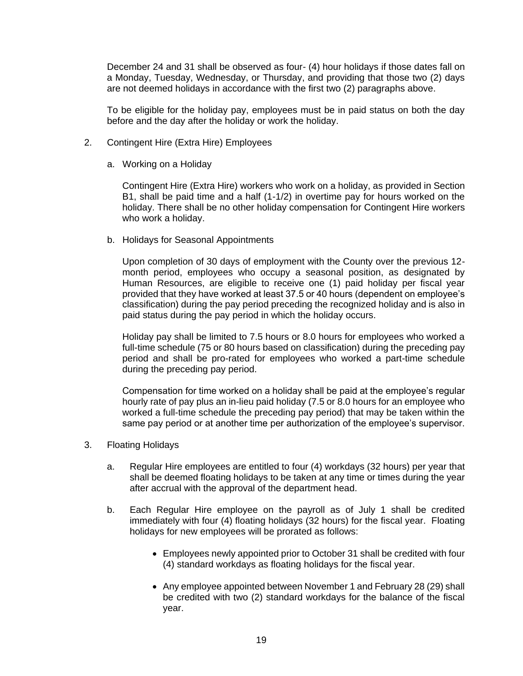December 24 and 31 shall be observed as four- (4) hour holidays if those dates fall on a Monday, Tuesday, Wednesday, or Thursday, and providing that those two (2) days are not deemed holidays in accordance with the first two (2) paragraphs above.

To be eligible for the holiday pay, employees must be in paid status on both the day before and the day after the holiday or work the holiday.

- 2. Contingent Hire (Extra Hire) Employees
	- a. Working on a Holiday

Contingent Hire (Extra Hire) workers who work on a holiday, as provided in Section B1, shall be paid time and a half (1-1/2) in overtime pay for hours worked on the holiday. There shall be no other holiday compensation for Contingent Hire workers who work a holiday.

b. Holidays for Seasonal Appointments

Upon completion of 30 days of employment with the County over the previous 12 month period, employees who occupy a seasonal position, as designated by Human Resources, are eligible to receive one (1) paid holiday per fiscal year provided that they have worked at least 37.5 or 40 hours (dependent on employee's classification) during the pay period preceding the recognized holiday and is also in paid status during the pay period in which the holiday occurs.

Holiday pay shall be limited to 7.5 hours or 8.0 hours for employees who worked a full-time schedule (75 or 80 hours based on classification) during the preceding pay period and shall be pro-rated for employees who worked a part-time schedule during the preceding pay period.

Compensation for time worked on a holiday shall be paid at the employee's regular hourly rate of pay plus an in-lieu paid holiday (7.5 or 8.0 hours for an employee who worked a full-time schedule the preceding pay period) that may be taken within the same pay period or at another time per authorization of the employee's supervisor.

- 3. Floating Holidays
	- a. Regular Hire employees are entitled to four (4) workdays (32 hours) per year that shall be deemed floating holidays to be taken at any time or times during the year after accrual with the approval of the department head.
	- b. Each Regular Hire employee on the payroll as of July 1 shall be credited immediately with four (4) floating holidays (32 hours) for the fiscal year. Floating holidays for new employees will be prorated as follows:
		- Employees newly appointed prior to October 31 shall be credited with four (4) standard workdays as floating holidays for the fiscal year.
		- Any employee appointed between November 1 and February 28 (29) shall be credited with two (2) standard workdays for the balance of the fiscal year.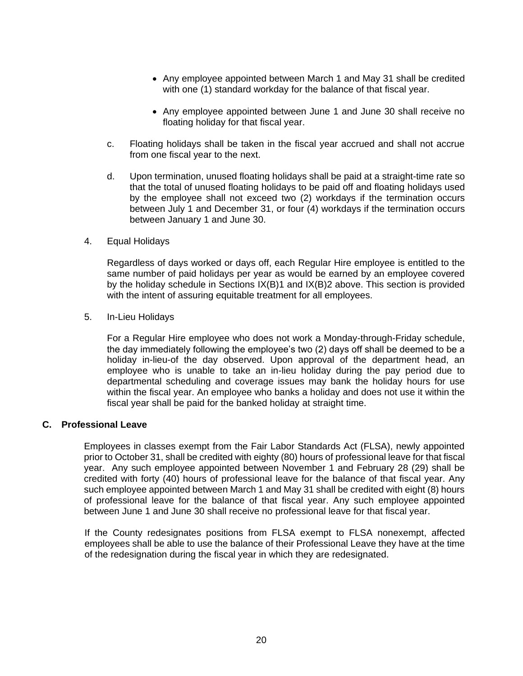- Any employee appointed between March 1 and May 31 shall be credited with one (1) standard workday for the balance of that fiscal year.
- Any employee appointed between June 1 and June 30 shall receive no floating holiday for that fiscal year.
- c. Floating holidays shall be taken in the fiscal year accrued and shall not accrue from one fiscal year to the next.
- d. Upon termination, unused floating holidays shall be paid at a straight-time rate so that the total of unused floating holidays to be paid off and floating holidays used by the employee shall not exceed two (2) workdays if the termination occurs between July 1 and December 31, or four (4) workdays if the termination occurs between January 1 and June 30.
- 4. Equal Holidays

Regardless of days worked or days off, each Regular Hire employee is entitled to the same number of paid holidays per year as would be earned by an employee covered by the holiday schedule in Sections IX(B)1 and IX(B)2 above. This section is provided with the intent of assuring equitable treatment for all employees.

5. In-Lieu Holidays

For a Regular Hire employee who does not work a Monday-through-Friday schedule, the day immediately following the employee's two (2) days off shall be deemed to be a holiday in-lieu-of the day observed. Upon approval of the department head, an employee who is unable to take an in-lieu holiday during the pay period due to departmental scheduling and coverage issues may bank the holiday hours for use within the fiscal year. An employee who banks a holiday and does not use it within the fiscal year shall be paid for the banked holiday at straight time.

#### <span id="page-24-0"></span>**C. Professional Leave**

Employees in classes exempt from the Fair Labor Standards Act (FLSA), newly appointed prior to October 31, shall be credited with eighty (80) hours of professional leave for that fiscal year. Any such employee appointed between November 1 and February 28 (29) shall be credited with forty (40) hours of professional leave for the balance of that fiscal year. Any such employee appointed between March 1 and May 31 shall be credited with eight (8) hours of professional leave for the balance of that fiscal year. Any such employee appointed between June 1 and June 30 shall receive no professional leave for that fiscal year.

If the County redesignates positions from FLSA exempt to FLSA nonexempt, affected employees shall be able to use the balance of their Professional Leave they have at the time of the redesignation during the fiscal year in which they are redesignated.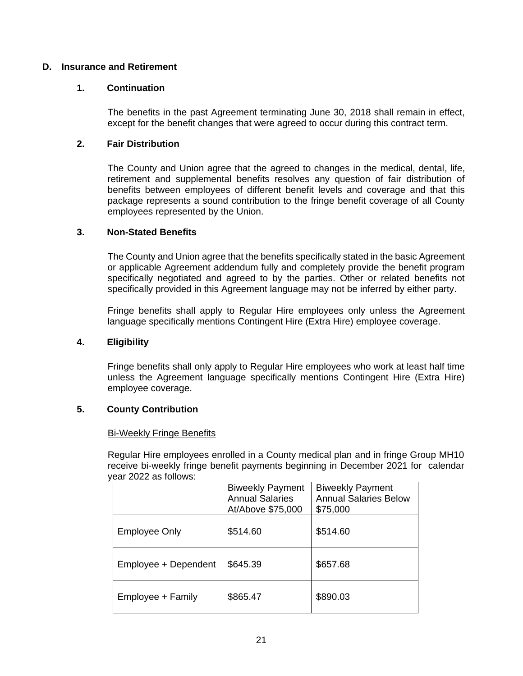## <span id="page-25-1"></span><span id="page-25-0"></span>**D. Insurance and Retirement**

#### **1. Continuation**

The benefits in the past Agreement terminating June 30, 2018 shall remain in effect, except for the benefit changes that were agreed to occur during this contract term.

#### <span id="page-25-2"></span>**2. Fair Distribution**

The County and Union agree that the agreed to changes in the medical, dental, life, retirement and supplemental benefits resolves any question of fair distribution of benefits between employees of different benefit levels and coverage and that this package represents a sound contribution to the fringe benefit coverage of all County employees represented by the Union.

#### <span id="page-25-3"></span>**3. Non-Stated Benefits**

The County and Union agree that the benefits specifically stated in the basic Agreement or applicable Agreement addendum fully and completely provide the benefit program specifically negotiated and agreed to by the parties. Other or related benefits not specifically provided in this Agreement language may not be inferred by either party.

Fringe benefits shall apply to Regular Hire employees only unless the Agreement language specifically mentions Contingent Hire (Extra Hire) employee coverage.

#### <span id="page-25-4"></span>**4. Eligibility**

Fringe benefits shall only apply to Regular Hire employees who work at least half time unless the Agreement language specifically mentions Contingent Hire (Extra Hire) employee coverage.

#### <span id="page-25-5"></span>**5. County Contribution**

#### Bi-Weekly Fringe Benefits

Regular Hire employees enrolled in a County medical plan and in fringe Group MH10 receive bi-weekly fringe benefit payments beginning in December 2021 for calendar year 2022 as follows:

|                      | <b>Biweekly Payment</b><br><b>Annual Salaries</b><br>At/Above \$75,000 | <b>Biweekly Payment</b><br><b>Annual Salaries Below</b><br>\$75,000 |
|----------------------|------------------------------------------------------------------------|---------------------------------------------------------------------|
| <b>Employee Only</b> | \$514.60                                                               | \$514.60                                                            |
| Employee + Dependent | \$645.39                                                               | \$657.68                                                            |
| Employee + Family    | \$865.47                                                               | \$890.03                                                            |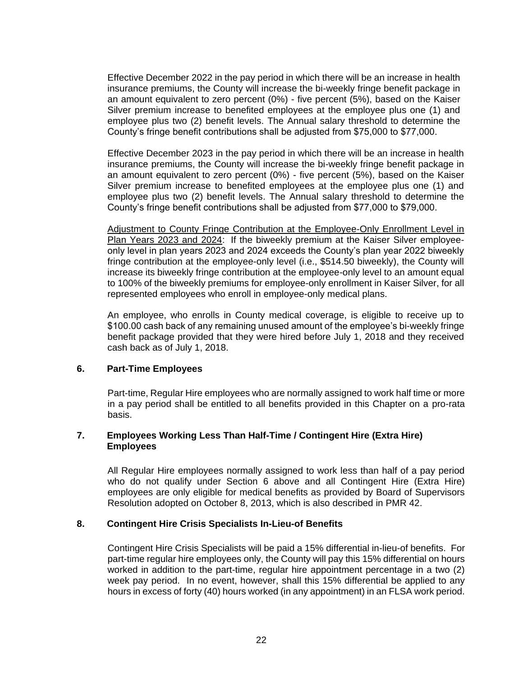Effective December 2022 in the pay period in which there will be an increase in health insurance premiums, the County will increase the bi-weekly fringe benefit package in an amount equivalent to zero percent (0%) - five percent (5%), based on the Kaiser Silver premium increase to benefited employees at the employee plus one (1) and employee plus two (2) benefit levels. The Annual salary threshold to determine the County's fringe benefit contributions shall be adjusted from \$75,000 to \$77,000.

Effective December 2023 in the pay period in which there will be an increase in health insurance premiums, the County will increase the bi-weekly fringe benefit package in an amount equivalent to zero percent (0%) - five percent (5%), based on the Kaiser Silver premium increase to benefited employees at the employee plus one (1) and employee plus two (2) benefit levels. The Annual salary threshold to determine the County's fringe benefit contributions shall be adjusted from \$77,000 to \$79,000.

Adjustment to County Fringe Contribution at the Employee-Only Enrollment Level in Plan Years 2023 and 2024: If the biweekly premium at the Kaiser Silver employeeonly level in plan years 2023 and 2024 exceeds the County's plan year 2022 biweekly fringe contribution at the employee-only level (i.e., \$514.50 biweekly), the County will increase its biweekly fringe contribution at the employee-only level to an amount equal to 100% of the biweekly premiums for employee-only enrollment in Kaiser Silver, for all represented employees who enroll in employee-only medical plans.

An employee, who enrolls in County medical coverage, is eligible to receive up to \$100.00 cash back of any remaining unused amount of the employee's bi-weekly fringe benefit package provided that they were hired before July 1, 2018 and they received cash back as of July 1, 2018.

#### <span id="page-26-0"></span>**6. Part-Time Employees**

Part-time, Regular Hire employees who are normally assigned to work half time or more in a pay period shall be entitled to all benefits provided in this Chapter on a pro-rata basis.

#### <span id="page-26-1"></span>**7. Employees Working Less Than Half-Time / Contingent Hire (Extra Hire) Employees**

All Regular Hire employees normally assigned to work less than half of a pay period who do not qualify under Section 6 above and all Contingent Hire (Extra Hire) employees are only eligible for medical benefits as provided by Board of Supervisors Resolution adopted on October 8, 2013, which is also described in PMR 42.

#### <span id="page-26-2"></span>**8. Contingent Hire Crisis Specialists In-Lieu-of Benefits**

Contingent Hire Crisis Specialists will be paid a 15% differential in-lieu-of benefits. For part-time regular hire employees only, the County will pay this 15% differential on hours worked in addition to the part-time, regular hire appointment percentage in a two (2) week pay period. In no event, however, shall this 15% differential be applied to any hours in excess of forty (40) hours worked (in any appointment) in an FLSA work period.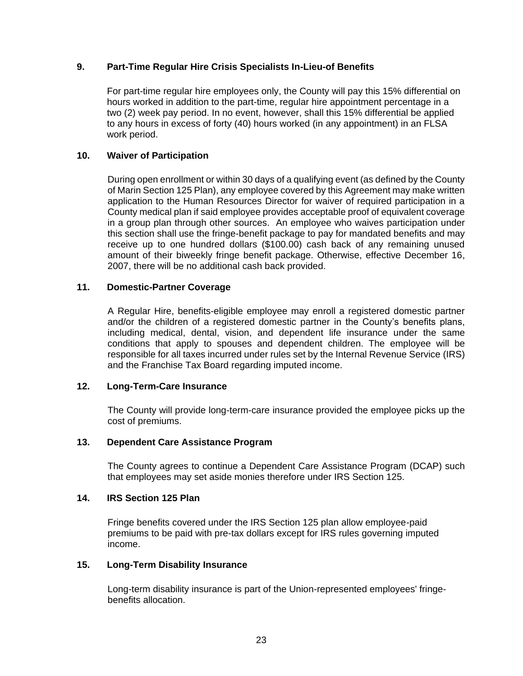### <span id="page-27-0"></span>**9. Part-Time Regular Hire Crisis Specialists In-Lieu-of Benefits**

For part-time regular hire employees only, the County will pay this 15% differential on hours worked in addition to the part-time, regular hire appointment percentage in a two (2) week pay period. In no event, however, shall this 15% differential be applied to any hours in excess of forty (40) hours worked (in any appointment) in an FLSA work period.

#### <span id="page-27-1"></span>**10. Waiver of Participation**

During open enrollment or within 30 days of a qualifying event (as defined by the County of Marin Section 125 Plan), any employee covered by this Agreement may make written application to the Human Resources Director for waiver of required participation in a County medical plan if said employee provides acceptable proof of equivalent coverage in a group plan through other sources. An employee who waives participation under this section shall use the fringe-benefit package to pay for mandated benefits and may receive up to one hundred dollars (\$100.00) cash back of any remaining unused amount of their biweekly fringe benefit package. Otherwise, effective December 16, 2007, there will be no additional cash back provided.

#### <span id="page-27-2"></span>**11. Domestic-Partner Coverage**

A Regular Hire, benefits-eligible employee may enroll a registered domestic partner and/or the children of a registered domestic partner in the County's benefits plans, including medical, dental, vision, and dependent life insurance under the same conditions that apply to spouses and dependent children. The employee will be responsible for all taxes incurred under rules set by the Internal Revenue Service (IRS) and the Franchise Tax Board regarding imputed income.

#### <span id="page-27-3"></span>**12. Long-Term-Care Insurance**

The County will provide long-term-care insurance provided the employee picks up the cost of premiums.

#### <span id="page-27-4"></span>**13. Dependent Care Assistance Program**

The County agrees to continue a Dependent Care Assistance Program (DCAP) such that employees may set aside monies therefore under IRS Section 125.

### <span id="page-27-5"></span>**14. IRS Section 125 Plan**

Fringe benefits covered under the IRS Section 125 plan allow employee-paid premiums to be paid with pre-tax dollars except for IRS rules governing imputed income.

#### <span id="page-27-6"></span>**15. Long-Term Disability Insurance**

Long-term disability insurance is part of the Union-represented employees' fringebenefits allocation.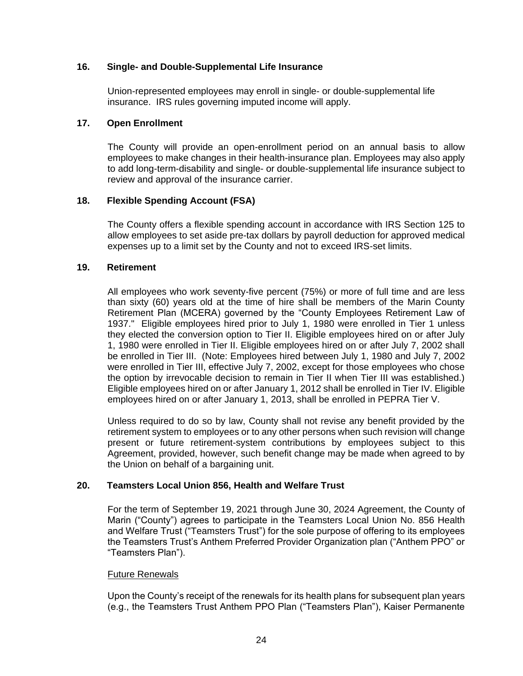#### <span id="page-28-0"></span>**16. Single- and Double-Supplemental Life Insurance**

Union-represented employees may enroll in single- or double-supplemental life insurance. IRS rules governing imputed income will apply.

#### <span id="page-28-1"></span>**17. Open Enrollment**

The County will provide an open-enrollment period on an annual basis to allow employees to make changes in their health-insurance plan. Employees may also apply to add long-term-disability and single- or double-supplemental life insurance subject to review and approval of the insurance carrier.

## <span id="page-28-2"></span>**18. Flexible Spending Account (FSA)**

The County offers a flexible spending account in accordance with IRS Section 125 to allow employees to set aside pre-tax dollars by payroll deduction for approved medical expenses up to a limit set by the County and not to exceed IRS-set limits.

## <span id="page-28-3"></span>**19. Retirement**

All employees who work seventy-five percent (75%) or more of full time and are less than sixty (60) years old at the time of hire shall be members of the Marin County Retirement Plan (MCERA) governed by the "County Employees Retirement Law of 1937." Eligible employees hired prior to July 1, 1980 were enrolled in Tier 1 unless they elected the conversion option to Tier II. Eligible employees hired on or after July 1, 1980 were enrolled in Tier II. Eligible employees hired on or after July 7, 2002 shall be enrolled in Tier III. (Note: Employees hired between July 1, 1980 and July 7, 2002 were enrolled in Tier III, effective July 7, 2002, except for those employees who chose the option by irrevocable decision to remain in Tier II when Tier III was established.) Eligible employees hired on or after January 1, 2012 shall be enrolled in Tier IV. Eligible employees hired on or after January 1, 2013, shall be enrolled in PEPRA Tier V.

Unless required to do so by law, County shall not revise any benefit provided by the retirement system to employees or to any other persons when such revision will change present or future retirement-system contributions by employees subject to this Agreement, provided, however, such benefit change may be made when agreed to by the Union on behalf of a bargaining unit.

## <span id="page-28-4"></span>**20. Teamsters Local Union 856, Health and Welfare Trust**

For the term of September 19, 2021 through June 30, 2024 Agreement, the County of Marin ("County") agrees to participate in the Teamsters Local Union No. 856 Health and Welfare Trust ("Teamsters Trust") for the sole purpose of offering to its employees the Teamsters Trust's Anthem Preferred Provider Organization plan ("Anthem PPO" or "Teamsters Plan").

#### Future Renewals

Upon the County's receipt of the renewals for its health plans for subsequent plan years (e.g., the Teamsters Trust Anthem PPO Plan ("Teamsters Plan"), Kaiser Permanente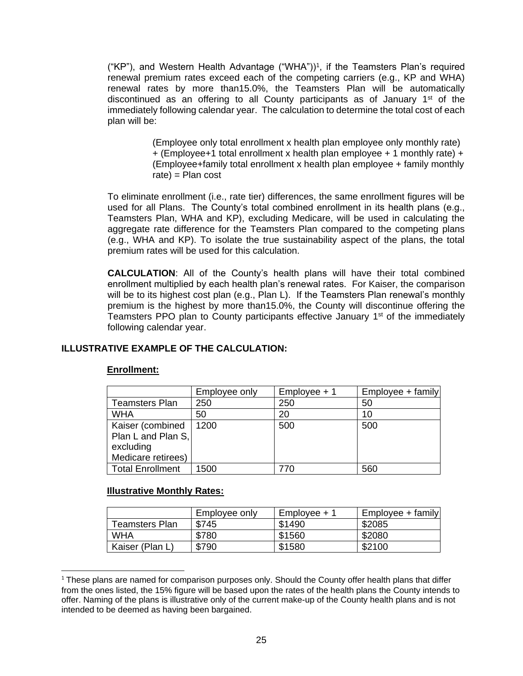("KP"), and Western Health Advantage ("WHA"))<sup>1</sup>, if the Teamsters Plan's required renewal premium rates exceed each of the competing carriers (e.g., KP and WHA) renewal rates by more than15.0%, the Teamsters Plan will be automatically discontinued as an offering to all County participants as of January  $1<sup>st</sup>$  of the immediately following calendar year. The calculation to determine the total cost of each plan will be:

> (Employee only total enrollment x health plan employee only monthly rate) + (Employee+1 total enrollment x health plan employee + 1 monthly rate) + (Employee+family total enrollment x health plan employee + family monthly  $rate$ ) = Plan cost

To eliminate enrollment (i.e., rate tier) differences, the same enrollment figures will be used for all Plans. The County's total combined enrollment in its health plans (e.g., Teamsters Plan, WHA and KP), excluding Medicare, will be used in calculating the aggregate rate difference for the Teamsters Plan compared to the competing plans (e.g., WHA and KP). To isolate the true sustainability aspect of the plans, the total premium rates will be used for this calculation.

**CALCULATION**: All of the County's health plans will have their total combined enrollment multiplied by each health plan's renewal rates. For Kaiser, the comparison will be to its highest cost plan (e.g., Plan L). If the Teamsters Plan renewal's monthly premium is the highest by more than15.0%, the County will discontinue offering the Teamsters PPO plan to County participants effective January  $1<sup>st</sup>$  of the immediately following calendar year.

# **ILLUSTRATIVE EXAMPLE OF THE CALCULATION:**

#### **Enrollment:**

|                                                                           | Employee only | $Employee + 1$ | $Emplovee + family$ |
|---------------------------------------------------------------------------|---------------|----------------|---------------------|
| <b>Teamsters Plan</b>                                                     | 250           | 250            | 50                  |
| <b>WHA</b>                                                                | 50            | 20             | 10                  |
| Kaiser (combined<br>Plan L and Plan S,<br>excluding<br>Medicare retirees) | 1200          | 500            | 500                 |
| <b>Total Enrollment</b>                                                   | 1500          | 770            | 560                 |

#### **Illustrative Monthly Rates:**

|                 | Emplovee only | Emplovee + 1 | $Emplovee + family$ |
|-----------------|---------------|--------------|---------------------|
| Teamsters Plan  | \$745         | \$1490       | \$2085              |
| WHA             | \$780         | \$1560       | \$2080              |
| Kaiser (Plan L, | \$790         | \$1580       | \$2100              |

 $1$  These plans are named for comparison purposes only. Should the County offer health plans that differ from the ones listed, the 15% figure will be based upon the rates of the health plans the County intends to offer. Naming of the plans is illustrative only of the current make-up of the County health plans and is not intended to be deemed as having been bargained.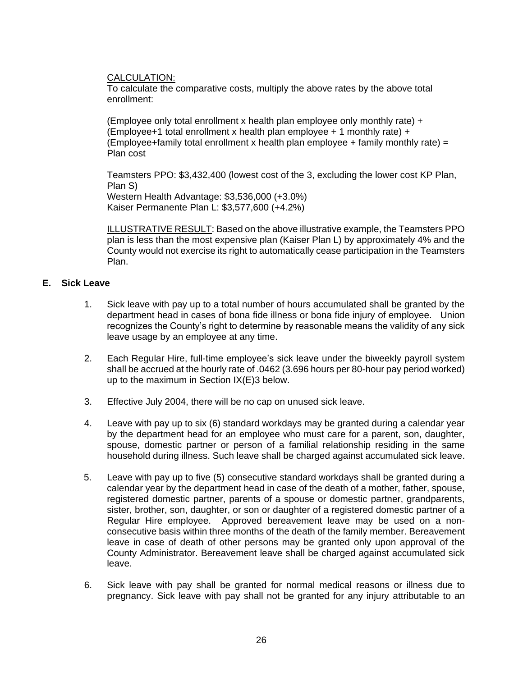CALCULATION:

To calculate the comparative costs, multiply the above rates by the above total enrollment:

(Employee only total enrollment x health plan employee only monthly rate) + (Employee+1 total enrollment x health plan employee + 1 monthly rate) + (Employee+family total enrollment x health plan employee + family monthly rate) = Plan cost

Teamsters PPO: \$3,432,400 (lowest cost of the 3, excluding the lower cost KP Plan, Plan S) Western Health Advantage: \$3,536,000 (+3.0%) Kaiser Permanente Plan L: \$3,577,600 (+4.2%)

ILLUSTRATIVE RESULT: Based on the above illustrative example, the Teamsters PPO plan is less than the most expensive plan (Kaiser Plan L) by approximately 4% and the County would not exercise its right to automatically cease participation in the Teamsters Plan.

## <span id="page-30-0"></span>**E. Sick Leave**

- 1. Sick leave with pay up to a total number of hours accumulated shall be granted by the department head in cases of bona fide illness or bona fide injury of employee. Union recognizes the County's right to determine by reasonable means the validity of any sick leave usage by an employee at any time.
- 2. Each Regular Hire, full-time employee's sick leave under the biweekly payroll system shall be accrued at the hourly rate of .0462 (3.696 hours per 80-hour pay period worked) up to the maximum in Section IX(E)3 below.
- 3. Effective July 2004, there will be no cap on unused sick leave.
- 4. Leave with pay up to six (6) standard workdays may be granted during a calendar year by the department head for an employee who must care for a parent, son, daughter, spouse, domestic partner or person of a familial relationship residing in the same household during illness. Such leave shall be charged against accumulated sick leave.
- 5. Leave with pay up to five (5) consecutive standard workdays shall be granted during a calendar year by the department head in case of the death of a mother, father, spouse, registered domestic partner, parents of a spouse or domestic partner, grandparents, sister, brother, son, daughter, or son or daughter of a registered domestic partner of a Regular Hire employee. Approved bereavement leave may be used on a nonconsecutive basis within three months of the death of the family member. Bereavement leave in case of death of other persons may be granted only upon approval of the County Administrator. Bereavement leave shall be charged against accumulated sick leave.
- 6. Sick leave with pay shall be granted for normal medical reasons or illness due to pregnancy. Sick leave with pay shall not be granted for any injury attributable to an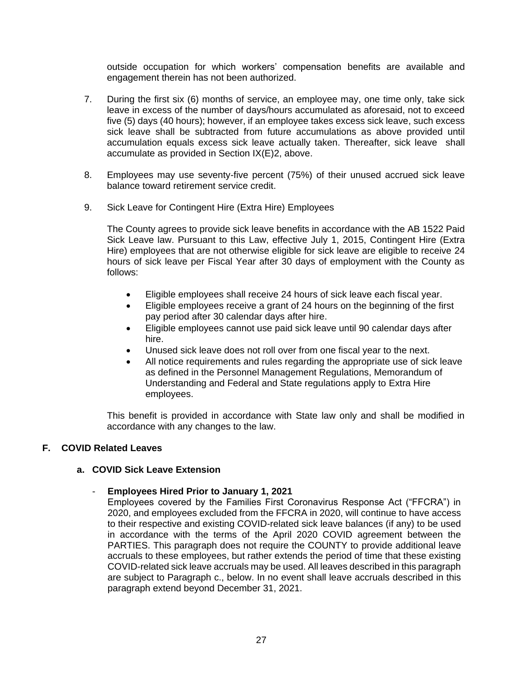outside occupation for which workers' compensation benefits are available and engagement therein has not been authorized.

- 7. During the first six (6) months of service, an employee may, one time only, take sick leave in excess of the number of days/hours accumulated as aforesaid, not to exceed five (5) days (40 hours); however, if an employee takes excess sick leave, such excess sick leave shall be subtracted from future accumulations as above provided until accumulation equals excess sick leave actually taken. Thereafter, sick leave shall accumulate as provided in Section IX(E)2, above.
- 8. Employees may use seventy-five percent (75%) of their unused accrued sick leave balance toward retirement service credit.
- 9. Sick Leave for Contingent Hire (Extra Hire) Employees

The County agrees to provide sick leave benefits in accordance with the AB 1522 Paid Sick Leave law. Pursuant to this Law, effective July 1, 2015, Contingent Hire (Extra Hire) employees that are not otherwise eligible for sick leave are eligible to receive 24 hours of sick leave per Fiscal Year after 30 days of employment with the County as follows:

- Eligible employees shall receive 24 hours of sick leave each fiscal year.
- Eligible employees receive a grant of 24 hours on the beginning of the first pay period after 30 calendar days after hire.
- Eligible employees cannot use paid sick leave until 90 calendar days after hire.
- Unused sick leave does not roll over from one fiscal year to the next.
- All notice requirements and rules regarding the appropriate use of sick leave as defined in the Personnel Management Regulations, Memorandum of Understanding and Federal and State regulations apply to Extra Hire employees.

This benefit is provided in accordance with State law only and shall be modified in accordance with any changes to the law.

## <span id="page-31-0"></span>**F. COVID Related Leaves**

## **a. COVID Sick Leave Extension**

#### - **Employees Hired Prior to January 1, 2021**

Employees covered by the Families First Coronavirus Response Act ("FFCRA") in 2020, and employees excluded from the FFCRA in 2020, will continue to have access to their respective and existing COVID-related sick leave balances (if any) to be used in accordance with the terms of the April 2020 COVID agreement between the PARTIES. This paragraph does not require the COUNTY to provide additional leave accruals to these employees, but rather extends the period of time that these existing COVID-related sick leave accruals may be used. All leaves described in this paragraph are subject to Paragraph c., below. In no event shall leave accruals described in this paragraph extend beyond December 31, 2021.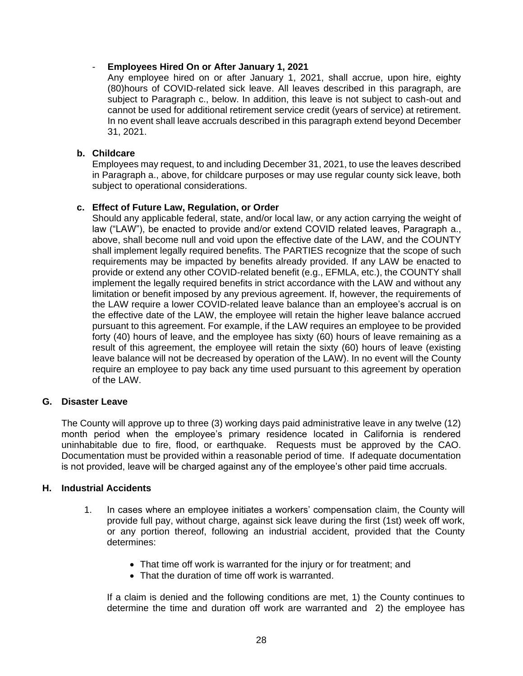## - **Employees Hired On or After January 1, 2021**

Any employee hired on or after January 1, 2021, shall accrue, upon hire, eighty (80)hours of COVID-related sick leave. All leaves described in this paragraph, are subject to Paragraph c., below. In addition, this leave is not subject to cash-out and cannot be used for additional retirement service credit (years of service) at retirement. In no event shall leave accruals described in this paragraph extend beyond December 31, 2021.

## **b. Childcare**

Employees may request, to and including December 31, 2021, to use the leaves described in Paragraph a., above, for childcare purposes or may use regular county sick leave, both subject to operational considerations.

#### **c. Effect of Future Law, Regulation, or Order**

Should any applicable federal, state, and/or local law, or any action carrying the weight of law ("LAW"), be enacted to provide and/or extend COVID related leaves, Paragraph a., above, shall become null and void upon the effective date of the LAW, and the COUNTY shall implement legally required benefits. The PARTIES recognize that the scope of such requirements may be impacted by benefits already provided. If any LAW be enacted to provide or extend any other COVID-related benefit (e.g., EFMLA, etc.), the COUNTY shall implement the legally required benefits in strict accordance with the LAW and without any limitation or benefit imposed by any previous agreement. If, however, the requirements of the LAW require a lower COVID-related leave balance than an employee's accrual is on the effective date of the LAW, the employee will retain the higher leave balance accrued pursuant to this agreement. For example, if the LAW requires an employee to be provided forty (40) hours of leave, and the employee has sixty (60) hours of leave remaining as a result of this agreement, the employee will retain the sixty (60) hours of leave (existing leave balance will not be decreased by operation of the LAW). In no event will the County require an employee to pay back any time used pursuant to this agreement by operation of the LAW.

## <span id="page-32-0"></span>**G. Disaster Leave**

The County will approve up to three (3) working days paid administrative leave in any twelve (12) month period when the employee's primary residence located in California is rendered uninhabitable due to fire, flood, or earthquake. Requests must be approved by the CAO. Documentation must be provided within a reasonable period of time. If adequate documentation is not provided, leave will be charged against any of the employee's other paid time accruals.

#### <span id="page-32-1"></span>**H. Industrial Accidents**

- 1. In cases where an employee initiates a workers' compensation claim, the County will provide full pay, without charge, against sick leave during the first (1st) week off work, or any portion thereof, following an industrial accident, provided that the County determines:
	- That time off work is warranted for the injury or for treatment; and
	- That the duration of time off work is warranted.

If a claim is denied and the following conditions are met, 1) the County continues to determine the time and duration off work are warranted and 2) the employee has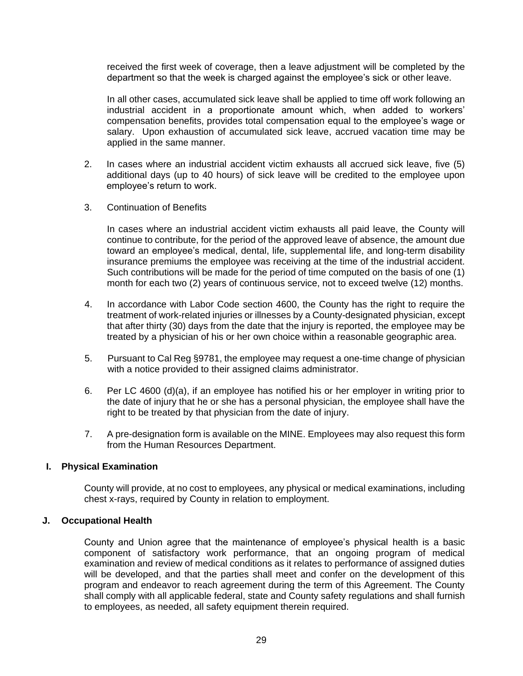received the first week of coverage, then a leave adjustment will be completed by the department so that the week is charged against the employee's sick or other leave.

In all other cases, accumulated sick leave shall be applied to time off work following an industrial accident in a proportionate amount which, when added to workers' compensation benefits, provides total compensation equal to the employee's wage or salary. Upon exhaustion of accumulated sick leave, accrued vacation time may be applied in the same manner.

- 2. In cases where an industrial accident victim exhausts all accrued sick leave, five (5) additional days (up to 40 hours) of sick leave will be credited to the employee upon employee's return to work.
- 3. Continuation of Benefits

In cases where an industrial accident victim exhausts all paid leave, the County will continue to contribute, for the period of the approved leave of absence, the amount due toward an employee's medical, dental, life, supplemental life, and long-term disability insurance premiums the employee was receiving at the time of the industrial accident. Such contributions will be made for the period of time computed on the basis of one (1) month for each two (2) years of continuous service, not to exceed twelve (12) months.

- 4. In accordance with Labor Code section 4600, the County has the right to require the treatment of work-related injuries or illnesses by a County-designated physician, except that after thirty (30) days from the date that the injury is reported, the employee may be treated by a physician of his or her own choice within a reasonable geographic area.
- 5. Pursuant to Cal Reg §9781, the employee may request a one-time change of physician with a notice provided to their assigned claims administrator.
- 6. Per LC 4600 (d)(a), if an employee has notified his or her employer in writing prior to the date of injury that he or she has a personal physician, the employee shall have the right to be treated by that physician from the date of injury.
- 7. A pre-designation form is available on the MINE. Employees may also request this form from the Human Resources Department.

## <span id="page-33-0"></span>**I. Physical Examination**

County will provide, at no cost to employees, any physical or medical examinations, including chest x-rays, required by County in relation to employment.

#### <span id="page-33-1"></span>**J. Occupational Health**

County and Union agree that the maintenance of employee's physical health is a basic component of satisfactory work performance, that an ongoing program of medical examination and review of medical conditions as it relates to performance of assigned duties will be developed, and that the parties shall meet and confer on the development of this program and endeavor to reach agreement during the term of this Agreement. The County shall comply with all applicable federal, state and County safety regulations and shall furnish to employees, as needed, all safety equipment therein required.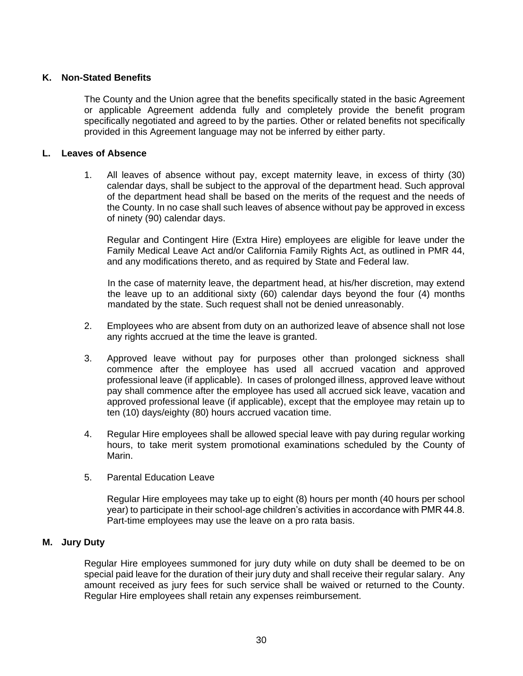## <span id="page-34-0"></span>**K. Non-Stated Benefits**

The County and the Union agree that the benefits specifically stated in the basic Agreement or applicable Agreement addenda fully and completely provide the benefit program specifically negotiated and agreed to by the parties. Other or related benefits not specifically provided in this Agreement language may not be inferred by either party.

#### <span id="page-34-1"></span>**L. Leaves of Absence**

1. All leaves of absence without pay, except maternity leave, in excess of thirty (30) calendar days, shall be subject to the approval of the department head. Such approval of the department head shall be based on the merits of the request and the needs of the County. In no case shall such leaves of absence without pay be approved in excess of ninety (90) calendar days.

Regular and Contingent Hire (Extra Hire) employees are eligible for leave under the Family Medical Leave Act and/or California Family Rights Act, as outlined in PMR 44, and any modifications thereto, and as required by State and Federal law.

In the case of maternity leave, the department head, at his/her discretion, may extend the leave up to an additional sixty (60) calendar days beyond the four (4) months mandated by the state. Such request shall not be denied unreasonably.

- 2. Employees who are absent from duty on an authorized leave of absence shall not lose any rights accrued at the time the leave is granted.
- 3. Approved leave without pay for purposes other than prolonged sickness shall commence after the employee has used all accrued vacation and approved professional leave (if applicable). In cases of prolonged illness, approved leave without pay shall commence after the employee has used all accrued sick leave, vacation and approved professional leave (if applicable), except that the employee may retain up to ten (10) days/eighty (80) hours accrued vacation time.
- 4. Regular Hire employees shall be allowed special leave with pay during regular working hours, to take merit system promotional examinations scheduled by the County of Marin.
- 5. Parental Education Leave

Regular Hire employees may take up to eight (8) hours per month (40 hours per school year) to participate in their school-age children's activities in accordance with PMR 44.8. Part-time employees may use the leave on a pro rata basis.

## <span id="page-34-2"></span>**M. Jury Duty**

Regular Hire employees summoned for jury duty while on duty shall be deemed to be on special paid leave for the duration of their jury duty and shall receive their regular salary. Any amount received as jury fees for such service shall be waived or returned to the County. Regular Hire employees shall retain any expenses reimbursement.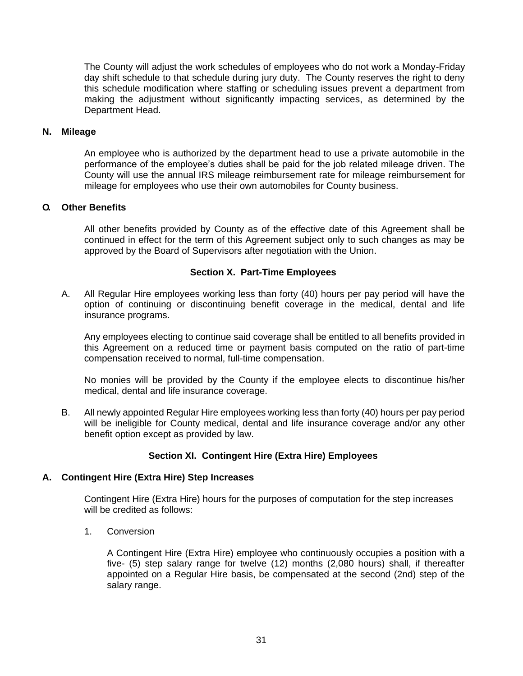The County will adjust the work schedules of employees who do not work a Monday-Friday day shift schedule to that schedule during jury duty. The County reserves the right to deny this schedule modification where staffing or scheduling issues prevent a department from making the adjustment without significantly impacting services, as determined by the Department Head.

#### <span id="page-35-0"></span>**N. Mileage**

An employee who is authorized by the department head to use a private automobile in the performance of the employee's duties shall be paid for the job related mileage driven. The County will use the annual IRS mileage reimbursement rate for mileage reimbursement for mileage for employees who use their own automobiles for County business.

### <span id="page-35-1"></span>**O. Other Benefits**

All other benefits provided by County as of the effective date of this Agreement shall be continued in effect for the term of this Agreement subject only to such changes as may be approved by the Board of Supervisors after negotiation with the Union.

## **Section X. Part-Time Employees**

<span id="page-35-2"></span>A. All Regular Hire employees working less than forty (40) hours per pay period will have the option of continuing or discontinuing benefit coverage in the medical, dental and life insurance programs.

Any employees electing to continue said coverage shall be entitled to all benefits provided in this Agreement on a reduced time or payment basis computed on the ratio of part-time compensation received to normal, full-time compensation.

No monies will be provided by the County if the employee elects to discontinue his/her medical, dental and life insurance coverage.

B. All newly appointed Regular Hire employees working less than forty (40) hours per pay period will be ineligible for County medical, dental and life insurance coverage and/or any other benefit option except as provided by law.

## **Section XI. Contingent Hire (Extra Hire) Employees**

#### <span id="page-35-4"></span><span id="page-35-3"></span>**A. Contingent Hire (Extra Hire) Step Increases**

Contingent Hire (Extra Hire) hours for the purposes of computation for the step increases will be credited as follows:

1. Conversion

A Contingent Hire (Extra Hire) employee who continuously occupies a position with a five- (5) step salary range for twelve (12) months (2,080 hours) shall, if thereafter appointed on a Regular Hire basis, be compensated at the second (2nd) step of the salary range.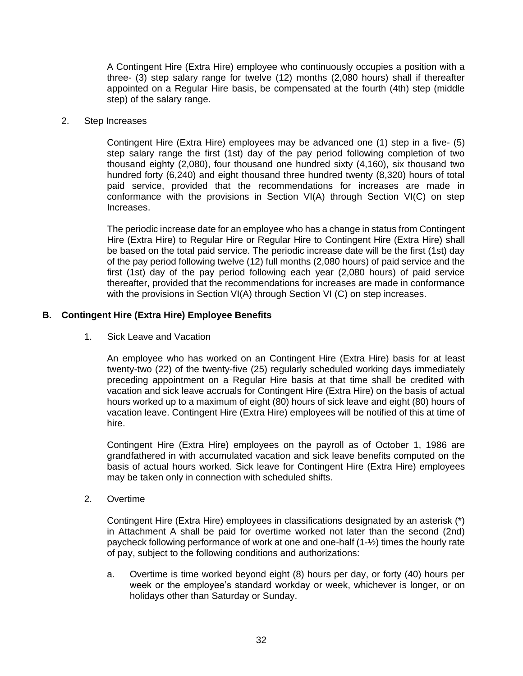A Contingent Hire (Extra Hire) employee who continuously occupies a position with a three- (3) step salary range for twelve (12) months (2,080 hours) shall if thereafter appointed on a Regular Hire basis, be compensated at the fourth (4th) step (middle step) of the salary range.

#### 2. Step Increases

Contingent Hire (Extra Hire) employees may be advanced one (1) step in a five- (5) step salary range the first (1st) day of the pay period following completion of two thousand eighty (2,080), four thousand one hundred sixty (4,160), six thousand two hundred forty (6,240) and eight thousand three hundred twenty (8,320) hours of total paid service, provided that the recommendations for increases are made in conformance with the provisions in Section VI(A) through Section VI(C) on step Increases.

The periodic increase date for an employee who has a change in status from Contingent Hire (Extra Hire) to Regular Hire or Regular Hire to Contingent Hire (Extra Hire) shall be based on the total paid service. The periodic increase date will be the first (1st) day of the pay period following twelve (12) full months (2,080 hours) of paid service and the first (1st) day of the pay period following each year (2,080 hours) of paid service thereafter, provided that the recommendations for increases are made in conformance with the provisions in Section VI(A) through Section VI (C) on step increases.

#### <span id="page-36-0"></span>**B. Contingent Hire (Extra Hire) Employee Benefits**

1. Sick Leave and Vacation

An employee who has worked on an Contingent Hire (Extra Hire) basis for at least twenty-two (22) of the twenty-five (25) regularly scheduled working days immediately preceding appointment on a Regular Hire basis at that time shall be credited with vacation and sick leave accruals for Contingent Hire (Extra Hire) on the basis of actual hours worked up to a maximum of eight (80) hours of sick leave and eight (80) hours of vacation leave. Contingent Hire (Extra Hire) employees will be notified of this at time of hire.

Contingent Hire (Extra Hire) employees on the payroll as of October 1, 1986 are grandfathered in with accumulated vacation and sick leave benefits computed on the basis of actual hours worked. Sick leave for Contingent Hire (Extra Hire) employees may be taken only in connection with scheduled shifts.

2. Overtime

Contingent Hire (Extra Hire) employees in classifications designated by an asterisk (\*) in Attachment A shall be paid for overtime worked not later than the second (2nd) paycheck following performance of work at one and one-half (1-½) times the hourly rate of pay, subject to the following conditions and authorizations:

a. Overtime is time worked beyond eight (8) hours per day, or forty (40) hours per week or the employee's standard workday or week, whichever is longer, or on holidays other than Saturday or Sunday.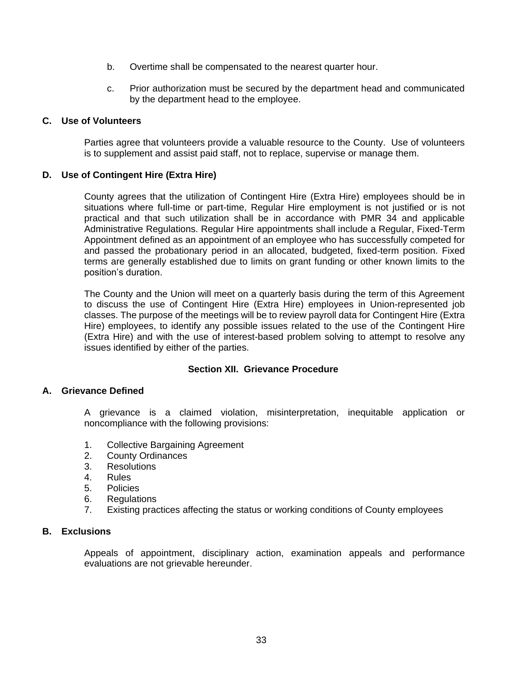- b. Overtime shall be compensated to the nearest quarter hour.
- c. Prior authorization must be secured by the department head and communicated by the department head to the employee.

#### <span id="page-37-0"></span>**C. Use of Volunteers**

Parties agree that volunteers provide a valuable resource to the County. Use of volunteers is to supplement and assist paid staff, not to replace, supervise or manage them.

#### <span id="page-37-1"></span>**D. Use of Contingent Hire (Extra Hire)**

County agrees that the utilization of Contingent Hire (Extra Hire) employees should be in situations where full-time or part-time, Regular Hire employment is not justified or is not practical and that such utilization shall be in accordance with PMR 34 and applicable Administrative Regulations. Regular Hire appointments shall include a Regular, Fixed-Term Appointment defined as an appointment of an employee who has successfully competed for and passed the probationary period in an allocated, budgeted, fixed-term position. Fixed terms are generally established due to limits on grant funding or other known limits to the position's duration.

The County and the Union will meet on a quarterly basis during the term of this Agreement to discuss the use of Contingent Hire (Extra Hire) employees in Union-represented job classes. The purpose of the meetings will be to review payroll data for Contingent Hire (Extra Hire) employees, to identify any possible issues related to the use of the Contingent Hire (Extra Hire) and with the use of interest-based problem solving to attempt to resolve any issues identified by either of the parties.

#### **Section XII. Grievance Procedure**

### <span id="page-37-3"></span><span id="page-37-2"></span>**A. Grievance Defined**

A grievance is a claimed violation, misinterpretation, inequitable application or noncompliance with the following provisions:

- 1. Collective Bargaining Agreement
- 2. County Ordinances
- 3. Resolutions
- 4. Rules
- 5. Policies
- 6. Regulations
- 7. Existing practices affecting the status or working conditions of County employees

#### <span id="page-37-4"></span>**B. Exclusions**

Appeals of appointment, disciplinary action, examination appeals and performance evaluations are not grievable hereunder.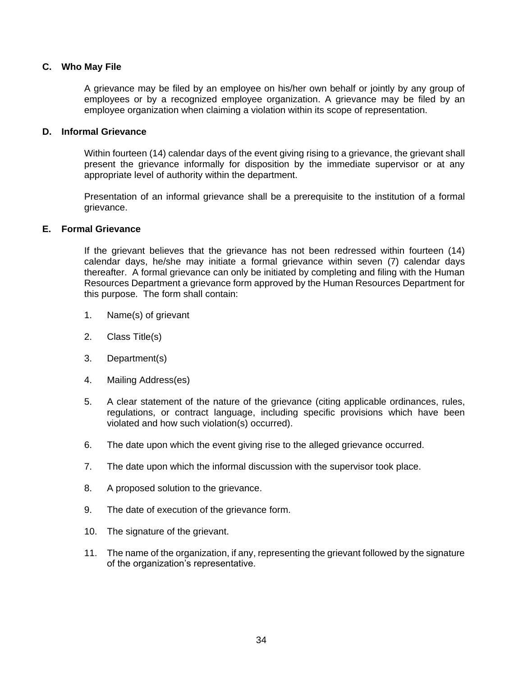### <span id="page-38-0"></span>**C. Who May File**

A grievance may be filed by an employee on his/her own behalf or jointly by any group of employees or by a recognized employee organization. A grievance may be filed by an employee organization when claiming a violation within its scope of representation.

#### <span id="page-38-1"></span>**D. Informal Grievance**

Within fourteen (14) calendar days of the event giving rising to a grievance, the grievant shall present the grievance informally for disposition by the immediate supervisor or at any appropriate level of authority within the department.

Presentation of an informal grievance shall be a prerequisite to the institution of a formal grievance.

#### <span id="page-38-2"></span>**E. Formal Grievance**

If the grievant believes that the grievance has not been redressed within fourteen (14) calendar days, he/she may initiate a formal grievance within seven (7) calendar days thereafter. A formal grievance can only be initiated by completing and filing with the Human Resources Department a grievance form approved by the Human Resources Department for this purpose. The form shall contain:

- 1. Name(s) of grievant
- 2. Class Title(s)
- 3. Department(s)
- 4. Mailing Address(es)
- 5. A clear statement of the nature of the grievance (citing applicable ordinances, rules, regulations, or contract language, including specific provisions which have been violated and how such violation(s) occurred).
- 6. The date upon which the event giving rise to the alleged grievance occurred.
- 7. The date upon which the informal discussion with the supervisor took place.
- 8. A proposed solution to the grievance.
- 9. The date of execution of the grievance form.
- 10. The signature of the grievant.
- 11. The name of the organization, if any, representing the grievant followed by the signature of the organization's representative.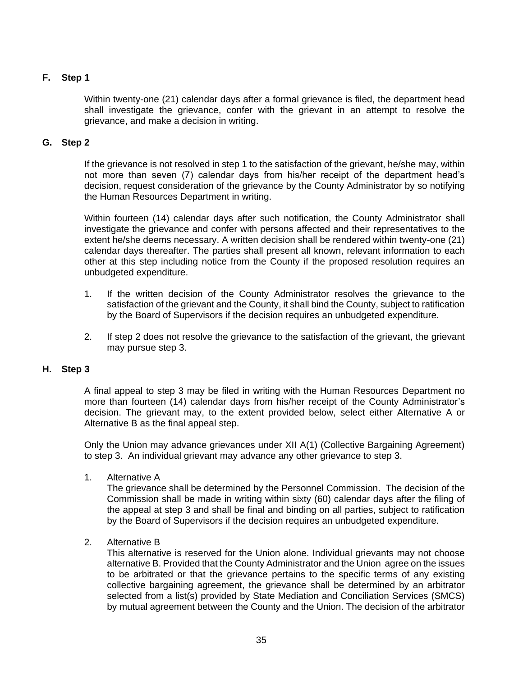## <span id="page-39-0"></span>**F. Step 1**

Within twenty-one (21) calendar days after a formal grievance is filed, the department head shall investigate the grievance, confer with the grievant in an attempt to resolve the grievance, and make a decision in writing.

## <span id="page-39-1"></span>**G. Step 2**

If the grievance is not resolved in step 1 to the satisfaction of the grievant, he/she may, within not more than seven (7) calendar days from his/her receipt of the department head's decision, request consideration of the grievance by the County Administrator by so notifying the Human Resources Department in writing.

Within fourteen (14) calendar days after such notification, the County Administrator shall investigate the grievance and confer with persons affected and their representatives to the extent he/she deems necessary. A written decision shall be rendered within twenty-one (21) calendar days thereafter. The parties shall present all known, relevant information to each other at this step including notice from the County if the proposed resolution requires an unbudgeted expenditure.

- 1. If the written decision of the County Administrator resolves the grievance to the satisfaction of the grievant and the County, it shall bind the County, subject to ratification by the Board of Supervisors if the decision requires an unbudgeted expenditure.
- 2. If step 2 does not resolve the grievance to the satisfaction of the grievant, the grievant may pursue step 3.

## <span id="page-39-2"></span>**H. Step 3**

A final appeal to step 3 may be filed in writing with the Human Resources Department no more than fourteen (14) calendar days from his/her receipt of the County Administrator's decision. The grievant may, to the extent provided below, select either Alternative A or Alternative B as the final appeal step.

Only the Union may advance grievances under XII A(1) (Collective Bargaining Agreement) to step 3. An individual grievant may advance any other grievance to step 3.

1. Alternative A

The grievance shall be determined by the Personnel Commission. The decision of the Commission shall be made in writing within sixty (60) calendar days after the filing of the appeal at step 3 and shall be final and binding on all parties, subject to ratification by the Board of Supervisors if the decision requires an unbudgeted expenditure.

2. Alternative B

This alternative is reserved for the Union alone. Individual grievants may not choose alternative B. Provided that the County Administrator and the Union agree on the issues to be arbitrated or that the grievance pertains to the specific terms of any existing collective bargaining agreement, the grievance shall be determined by an arbitrator selected from a list(s) provided by State Mediation and Conciliation Services (SMCS) by mutual agreement between the County and the Union. The decision of the arbitrator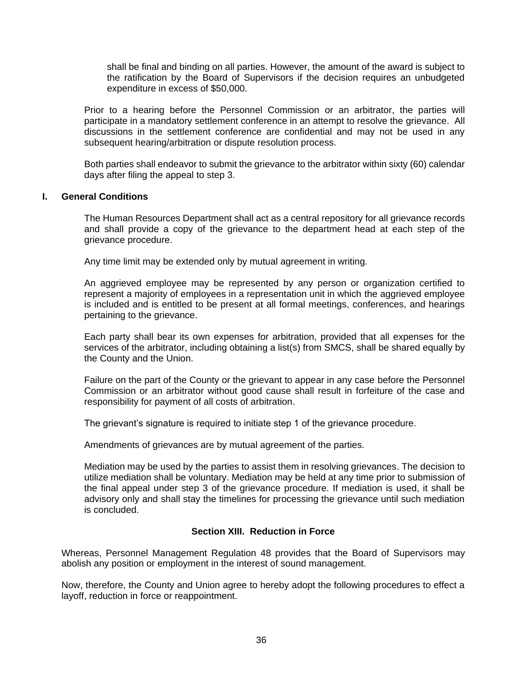shall be final and binding on all parties. However, the amount of the award is subject to the ratification by the Board of Supervisors if the decision requires an unbudgeted expenditure in excess of \$50,000.

Prior to a hearing before the Personnel Commission or an arbitrator, the parties will participate in a mandatory settlement conference in an attempt to resolve the grievance. All discussions in the settlement conference are confidential and may not be used in any subsequent hearing/arbitration or dispute resolution process.

Both parties shall endeavor to submit the grievance to the arbitrator within sixty (60) calendar days after filing the appeal to step 3.

#### <span id="page-40-0"></span>**I. General Conditions**

The Human Resources Department shall act as a central repository for all grievance records and shall provide a copy of the grievance to the department head at each step of the grievance procedure.

Any time limit may be extended only by mutual agreement in writing.

An aggrieved employee may be represented by any person or organization certified to represent a majority of employees in a representation unit in which the aggrieved employee is included and is entitled to be present at all formal meetings, conferences, and hearings pertaining to the grievance.

Each party shall bear its own expenses for arbitration, provided that all expenses for the services of the arbitrator, including obtaining a list(s) from SMCS, shall be shared equally by the County and the Union.

Failure on the part of the County or the grievant to appear in any case before the Personnel Commission or an arbitrator without good cause shall result in forfeiture of the case and responsibility for payment of all costs of arbitration.

The grievant's signature is required to initiate step 1 of the grievance procedure.

Amendments of grievances are by mutual agreement of the parties.

Mediation may be used by the parties to assist them in resolving grievances. The decision to utilize mediation shall be voluntary. Mediation may be held at any time prior to submission of the final appeal under step 3 of the grievance procedure. If mediation is used, it shall be advisory only and shall stay the timelines for processing the grievance until such mediation is concluded.

## **Section XIII. Reduction in Force**

<span id="page-40-1"></span>Whereas, Personnel Management Regulation 48 provides that the Board of Supervisors may abolish any position or employment in the interest of sound management.

Now, therefore, the County and Union agree to hereby adopt the following procedures to effect a layoff, reduction in force or reappointment.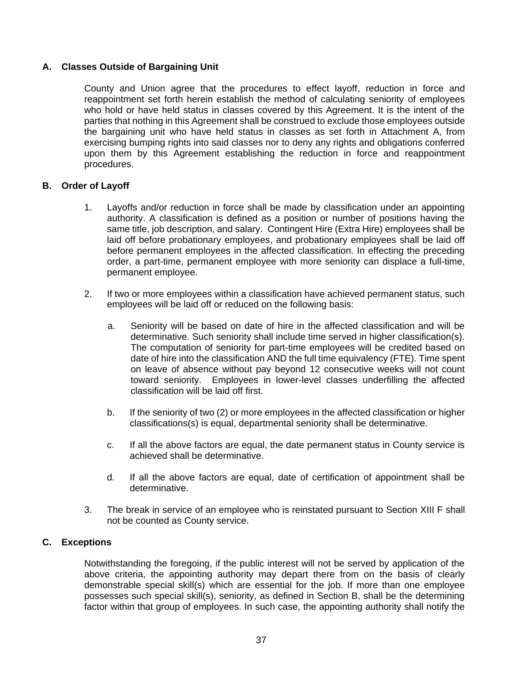## <span id="page-41-0"></span>**A. Classes Outside of Bargaining Unit**

County and Union agree that the procedures to effect layoff, reduction in force and reappointment set forth herein establish the method of calculating seniority of employees who hold or have held status in classes covered by this Agreement. It is the intent of the parties that nothing in this Agreement shall be construed to exclude those employees outside the bargaining unit who have held status in classes as set forth in Attachment A, from exercising bumping rights into said classes nor to deny any rights and obligations conferred upon them by this Agreement establishing the reduction in force and reappointment procedures.

## <span id="page-41-1"></span>**B. Order of Layoff**

- 1. Layoffs and/or reduction in force shall be made by classification under an appointing authority. A classification is defined as a position or number of positions having the same title, job description, and salary. Contingent Hire (Extra Hire) employees shall be laid off before probationary employees, and probationary employees shall be laid off before permanent employees in the affected classification. In effecting the preceding order, a part-time, permanent employee with more seniority can displace a full-time, permanent employee.
- 2. If two or more employees within a classification have achieved permanent status, such employees will be laid off or reduced on the following basis:
	- a. Seniority will be based on date of hire in the affected classification and will be determinative. Such seniority shall include time served in higher classification(s). The computation of seniority for part-time employees will be credited based on date of hire into the classification AND the full time equivalency (FTE). Time spent on leave of absence without pay beyond 12 consecutive weeks will not count toward seniority. Employees in lower-level classes underfilling the affected classification will be laid off first.
	- b. If the seniority of two (2) or more employees in the affected classification or higher classifications(s) is equal, departmental seniority shall be determinative.
	- c. If all the above factors are equal, the date permanent status in County service is achieved shall be determinative.
	- d. If all the above factors are equal, date of certification of appointment shall be determinative.
- 3. The break in service of an employee who is reinstated pursuant to Section XIII F shall not be counted as County service.

## <span id="page-41-2"></span>**C. Exceptions**

Notwithstanding the foregoing, if the public interest will not be served by application of the above criteria, the appointing authority may depart there from on the basis of clearly demonstrable special skill(s) which are essential for the job. If more than one employee possesses such special skill(s), seniority, as defined in Section B, shall be the determining factor within that group of employees. In such case, the appointing authority shall notify the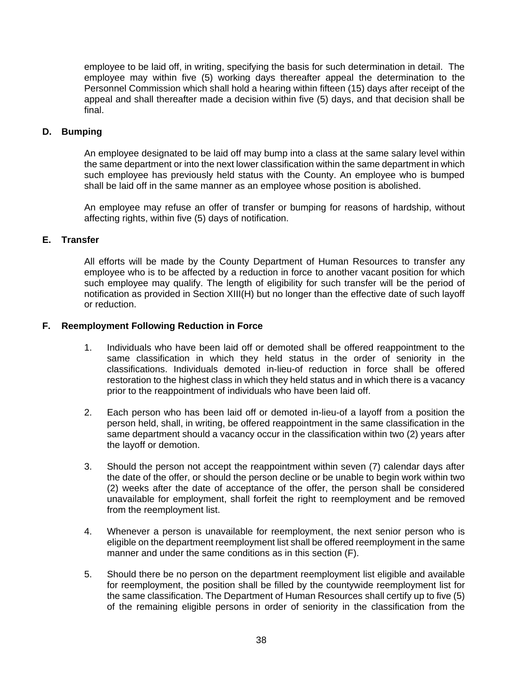employee to be laid off, in writing, specifying the basis for such determination in detail. The employee may within five (5) working days thereafter appeal the determination to the Personnel Commission which shall hold a hearing within fifteen (15) days after receipt of the appeal and shall thereafter made a decision within five (5) days, and that decision shall be final.

### <span id="page-42-0"></span>**D. Bumping**

An employee designated to be laid off may bump into a class at the same salary level within the same department or into the next lower classification within the same department in which such employee has previously held status with the County. An employee who is bumped shall be laid off in the same manner as an employee whose position is abolished.

An employee may refuse an offer of transfer or bumping for reasons of hardship, without affecting rights, within five (5) days of notification.

## <span id="page-42-1"></span>**E. Transfer**

All efforts will be made by the County Department of Human Resources to transfer any employee who is to be affected by a reduction in force to another vacant position for which such employee may qualify. The length of eligibility for such transfer will be the period of notification as provided in Section XIII(H) but no longer than the effective date of such layoff or reduction.

#### <span id="page-42-2"></span>**F. Reemployment Following Reduction in Force**

- 1. Individuals who have been laid off or demoted shall be offered reappointment to the same classification in which they held status in the order of seniority in the classifications. Individuals demoted in-lieu-of reduction in force shall be offered restoration to the highest class in which they held status and in which there is a vacancy prior to the reappointment of individuals who have been laid off.
- 2. Each person who has been laid off or demoted in-lieu-of a layoff from a position the person held, shall, in writing, be offered reappointment in the same classification in the same department should a vacancy occur in the classification within two (2) years after the layoff or demotion.
- 3. Should the person not accept the reappointment within seven (7) calendar days after the date of the offer, or should the person decline or be unable to begin work within two (2) weeks after the date of acceptance of the offer, the person shall be considered unavailable for employment, shall forfeit the right to reemployment and be removed from the reemployment list.
- 4. Whenever a person is unavailable for reemployment, the next senior person who is eligible on the department reemployment list shall be offered reemployment in the same manner and under the same conditions as in this section (F).
- 5. Should there be no person on the department reemployment list eligible and available for reemployment, the position shall be filled by the countywide reemployment list for the same classification. The Department of Human Resources shall certify up to five (5) of the remaining eligible persons in order of seniority in the classification from the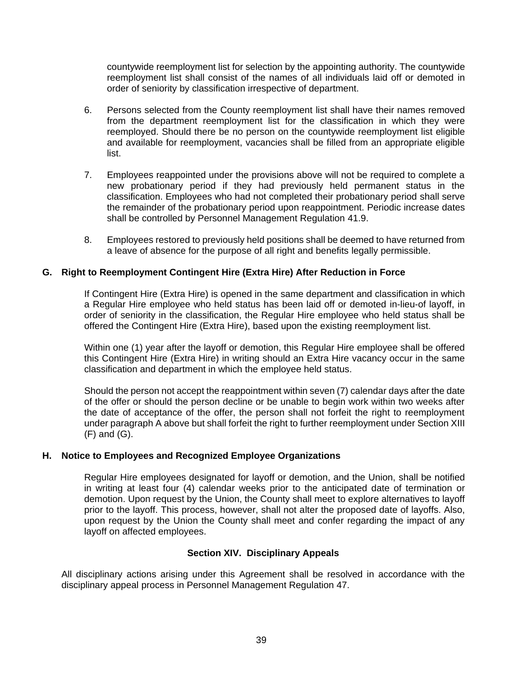countywide reemployment list for selection by the appointing authority. The countywide reemployment list shall consist of the names of all individuals laid off or demoted in order of seniority by classification irrespective of department.

- 6. Persons selected from the County reemployment list shall have their names removed from the department reemployment list for the classification in which they were reemployed. Should there be no person on the countywide reemployment list eligible and available for reemployment, vacancies shall be filled from an appropriate eligible list.
- 7. Employees reappointed under the provisions above will not be required to complete a new probationary period if they had previously held permanent status in the classification. Employees who had not completed their probationary period shall serve the remainder of the probationary period upon reappointment. Periodic increase dates shall be controlled by Personnel Management Regulation 41.9.
- 8. Employees restored to previously held positions shall be deemed to have returned from a leave of absence for the purpose of all right and benefits legally permissible.

## <span id="page-43-0"></span>**G. Right to Reemployment Contingent Hire (Extra Hire) After Reduction in Force**

If Contingent Hire (Extra Hire) is opened in the same department and classification in which a Regular Hire employee who held status has been laid off or demoted in-lieu-of layoff, in order of seniority in the classification, the Regular Hire employee who held status shall be offered the Contingent Hire (Extra Hire), based upon the existing reemployment list.

Within one (1) year after the layoff or demotion, this Regular Hire employee shall be offered this Contingent Hire (Extra Hire) in writing should an Extra Hire vacancy occur in the same classification and department in which the employee held status.

Should the person not accept the reappointment within seven (7) calendar days after the date of the offer or should the person decline or be unable to begin work within two weeks after the date of acceptance of the offer, the person shall not forfeit the right to reemployment under paragraph A above but shall forfeit the right to further reemployment under Section XIII (F) and (G).

#### <span id="page-43-1"></span>**H. Notice to Employees and Recognized Employee Organizations**

Regular Hire employees designated for layoff or demotion, and the Union, shall be notified in writing at least four (4) calendar weeks prior to the anticipated date of termination or demotion. Upon request by the Union, the County shall meet to explore alternatives to layoff prior to the layoff. This process, however, shall not alter the proposed date of layoffs. Also, upon request by the Union the County shall meet and confer regarding the impact of any layoff on affected employees.

#### **Section XIV. Disciplinary Appeals**

<span id="page-43-2"></span>All disciplinary actions arising under this Agreement shall be resolved in accordance with the disciplinary appeal process in Personnel Management Regulation 47.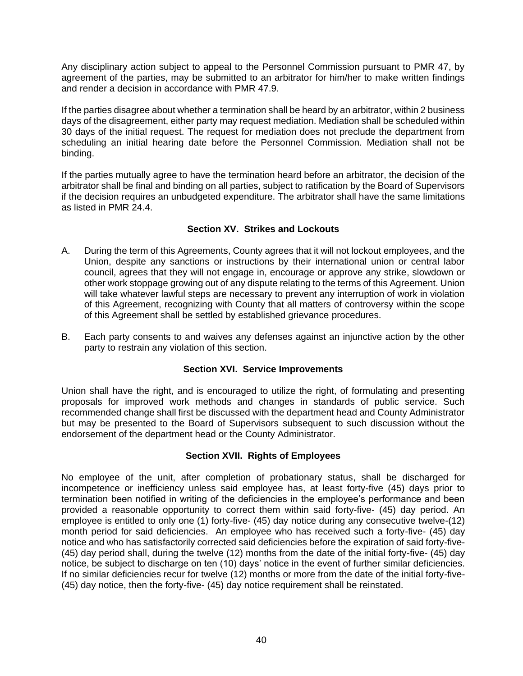Any disciplinary action subject to appeal to the Personnel Commission pursuant to PMR 47, by agreement of the parties, may be submitted to an arbitrator for him/her to make written findings and render a decision in accordance with PMR 47.9.

If the parties disagree about whether a termination shall be heard by an arbitrator, within 2 business days of the disagreement, either party may request mediation. Mediation shall be scheduled within 30 days of the initial request. The request for mediation does not preclude the department from scheduling an initial hearing date before the Personnel Commission. Mediation shall not be binding.

If the parties mutually agree to have the termination heard before an arbitrator, the decision of the arbitrator shall be final and binding on all parties, subject to ratification by the Board of Supervisors if the decision requires an unbudgeted expenditure. The arbitrator shall have the same limitations as listed in PMR 24.4.

## **Section XV. Strikes and Lockouts**

- <span id="page-44-0"></span>A. During the term of this Agreements, County agrees that it will not lockout employees, and the Union, despite any sanctions or instructions by their international union or central labor council, agrees that they will not engage in, encourage or approve any strike, slowdown or other work stoppage growing out of any dispute relating to the terms of this Agreement. Union will take whatever lawful steps are necessary to prevent any interruption of work in violation of this Agreement, recognizing with County that all matters of controversy within the scope of this Agreement shall be settled by established grievance procedures.
- B. Each party consents to and waives any defenses against an injunctive action by the other party to restrain any violation of this section.

## **Section XVI. Service Improvements**

<span id="page-44-1"></span>Union shall have the right, and is encouraged to utilize the right, of formulating and presenting proposals for improved work methods and changes in standards of public service. Such recommended change shall first be discussed with the department head and County Administrator but may be presented to the Board of Supervisors subsequent to such discussion without the endorsement of the department head or the County Administrator.

## **Section XVII. Rights of Employees**

<span id="page-44-2"></span>No employee of the unit, after completion of probationary status, shall be discharged for incompetence or inefficiency unless said employee has, at least forty-five (45) days prior to termination been notified in writing of the deficiencies in the employee's performance and been provided a reasonable opportunity to correct them within said forty-five- (45) day period. An employee is entitled to only one (1) forty-five- (45) day notice during any consecutive twelve-(12) month period for said deficiencies. An employee who has received such a forty-five- (45) day notice and who has satisfactorily corrected said deficiencies before the expiration of said forty-five- (45) day period shall, during the twelve (12) months from the date of the initial forty-five- (45) day notice, be subject to discharge on ten (10) days' notice in the event of further similar deficiencies. If no similar deficiencies recur for twelve (12) months or more from the date of the initial forty-five- (45) day notice, then the forty-five- (45) day notice requirement shall be reinstated.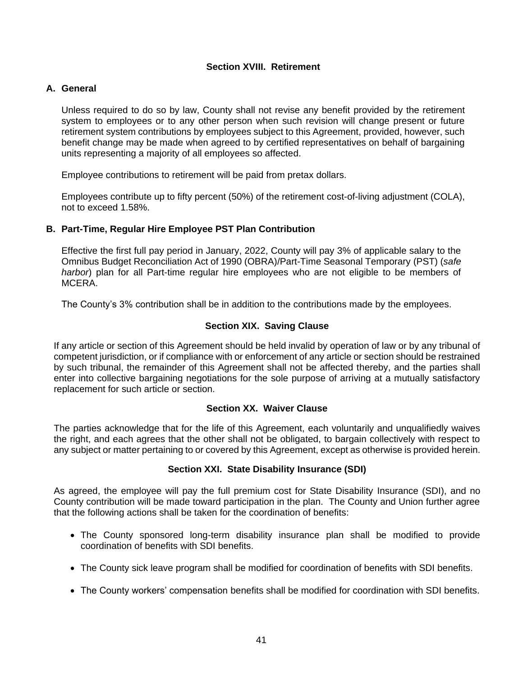#### **Section XVIII. Retirement**

#### <span id="page-45-1"></span><span id="page-45-0"></span>**A. General**

Unless required to do so by law, County shall not revise any benefit provided by the retirement system to employees or to any other person when such revision will change present or future retirement system contributions by employees subject to this Agreement, provided, however, such benefit change may be made when agreed to by certified representatives on behalf of bargaining units representing a majority of all employees so affected.

Employee contributions to retirement will be paid from pretax dollars.

Employees contribute up to fifty percent (50%) of the retirement cost-of-living adjustment (COLA), not to exceed 1.58%.

#### <span id="page-45-2"></span>**B. Part-Time, Regular Hire Employee PST Plan Contribution**

Effective the first full pay period in January, 2022, County will pay 3% of applicable salary to the Omnibus Budget Reconciliation Act of 1990 (OBRA)/Part-Time Seasonal Temporary (PST) (*safe harbor*) plan for all Part-time regular hire employees who are not eligible to be members of MCERA.

The County's 3% contribution shall be in addition to the contributions made by the employees.

## **Section XIX. Saving Clause**

<span id="page-45-3"></span>If any article or section of this Agreement should be held invalid by operation of law or by any tribunal of competent jurisdiction, or if compliance with or enforcement of any article or section should be restrained by such tribunal, the remainder of this Agreement shall not be affected thereby, and the parties shall enter into collective bargaining negotiations for the sole purpose of arriving at a mutually satisfactory replacement for such article or section.

## **Section XX. Waiver Clause**

<span id="page-45-4"></span>The parties acknowledge that for the life of this Agreement, each voluntarily and unqualifiedly waives the right, and each agrees that the other shall not be obligated, to bargain collectively with respect to any subject or matter pertaining to or covered by this Agreement, except as otherwise is provided herein.

## **Section XXI. State Disability Insurance (SDI)**

<span id="page-45-5"></span>As agreed, the employee will pay the full premium cost for State Disability Insurance (SDI), and no County contribution will be made toward participation in the plan. The County and Union further agree that the following actions shall be taken for the coordination of benefits:

- The County sponsored long-term disability insurance plan shall be modified to provide coordination of benefits with SDI benefits.
- The County sick leave program shall be modified for coordination of benefits with SDI benefits.
- The County workers' compensation benefits shall be modified for coordination with SDI benefits.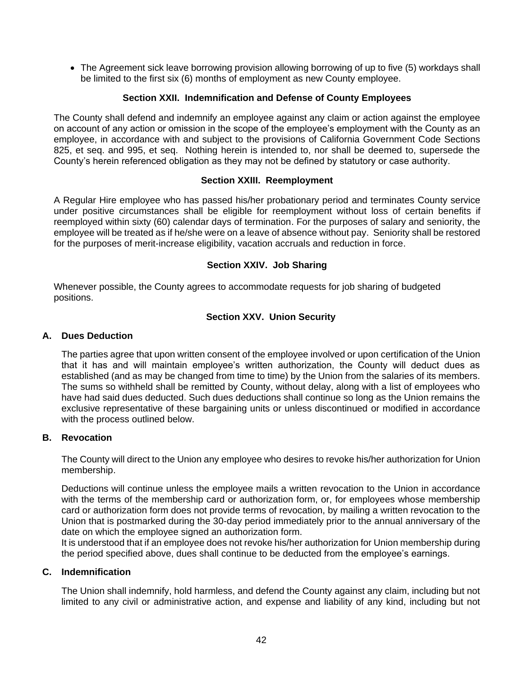• The Agreement sick leave borrowing provision allowing borrowing of up to five (5) workdays shall be limited to the first six (6) months of employment as new County employee.

## **Section XXII. Indemnification and Defense of County Employees**

<span id="page-46-0"></span>The County shall defend and indemnify an employee against any claim or action against the employee on account of any action or omission in the scope of the employee's employment with the County as an employee, in accordance with and subject to the provisions of California Government Code Sections 825, et seq. and 995, et seq. Nothing herein is intended to, nor shall be deemed to, supersede the County's herein referenced obligation as they may not be defined by statutory or case authority.

#### **Section XXIII. Reemployment**

<span id="page-46-1"></span>A Regular Hire employee who has passed his/her probationary period and terminates County service under positive circumstances shall be eligible for reemployment without loss of certain benefits if reemployed within sixty (60) calendar days of termination. For the purposes of salary and seniority, the employee will be treated as if he/she were on a leave of absence without pay. Seniority shall be restored for the purposes of merit-increase eligibility, vacation accruals and reduction in force.

## **Section XXIV. Job Sharing**

<span id="page-46-2"></span>Whenever possible, the County agrees to accommodate requests for job sharing of budgeted positions.

### **Section XXV. Union Security**

#### <span id="page-46-4"></span><span id="page-46-3"></span>**A. Dues Deduction**

The parties agree that upon written consent of the employee involved or upon certification of the Union that it has and will maintain employee's written authorization, the County will deduct dues as established (and as may be changed from time to time) by the Union from the salaries of its members. The sums so withheld shall be remitted by County, without delay, along with a list of employees who have had said dues deducted. Such dues deductions shall continue so long as the Union remains the exclusive representative of these bargaining units or unless discontinued or modified in accordance with the process outlined below.

#### <span id="page-46-5"></span>**B. Revocation**

The County will direct to the Union any employee who desires to revoke his/her authorization for Union membership.

Deductions will continue unless the employee mails a written revocation to the Union in accordance with the terms of the membership card or authorization form, or, for employees whose membership card or authorization form does not provide terms of revocation, by mailing a written revocation to the Union that is postmarked during the 30-day period immediately prior to the annual anniversary of the date on which the employee signed an authorization form.

It is understood that if an employee does not revoke his/her authorization for Union membership during the period specified above, dues shall continue to be deducted from the employee's earnings.

#### <span id="page-46-6"></span>**C. Indemnification**

The Union shall indemnify, hold harmless, and defend the County against any claim, including but not limited to any civil or administrative action, and expense and liability of any kind, including but not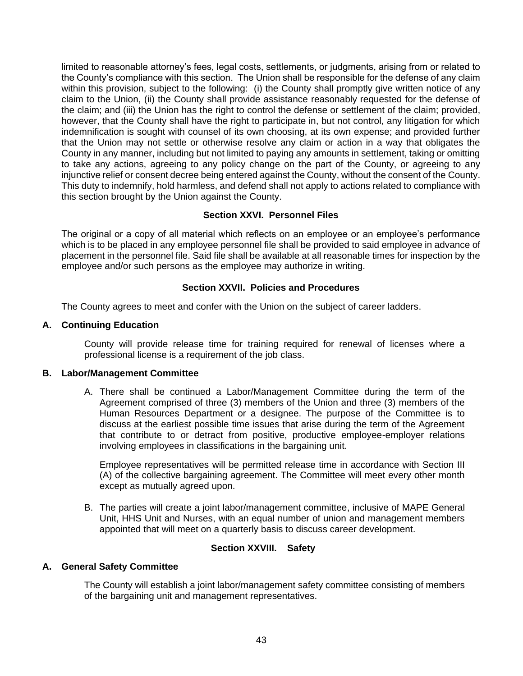limited to reasonable attorney's fees, legal costs, settlements, or judgments, arising from or related to the County's compliance with this section. The Union shall be responsible for the defense of any claim within this provision, subject to the following: (i) the County shall promptly give written notice of any claim to the Union, (ii) the County shall provide assistance reasonably requested for the defense of the claim; and (iii) the Union has the right to control the defense or settlement of the claim; provided, however, that the County shall have the right to participate in, but not control, any litigation for which indemnification is sought with counsel of its own choosing, at its own expense; and provided further that the Union may not settle or otherwise resolve any claim or action in a way that obligates the County in any manner, including but not limited to paying any amounts in settlement, taking or omitting to take any actions, agreeing to any policy change on the part of the County, or agreeing to any injunctive relief or consent decree being entered against the County, without the consent of the County. This duty to indemnify, hold harmless, and defend shall not apply to actions related to compliance with this section brought by the Union against the County.

## **Section XXVI. Personnel Files**

<span id="page-47-0"></span>The original or a copy of all material which reflects on an employee or an employee's performance which is to be placed in any employee personnel file shall be provided to said employee in advance of placement in the personnel file. Said file shall be available at all reasonable times for inspection by the employee and/or such persons as the employee may authorize in writing.

# **Section XXVII. Policies and Procedures**

<span id="page-47-1"></span>The County agrees to meet and confer with the Union on the subject of career ladders.

## <span id="page-47-2"></span>**A. Continuing Education**

County will provide release time for training required for renewal of licenses where a professional license is a requirement of the job class.

## <span id="page-47-3"></span>**B. Labor/Management Committee**

A. There shall be continued a Labor/Management Committee during the term of the Agreement comprised of three (3) members of the Union and three (3) members of the Human Resources Department or a designee. The purpose of the Committee is to discuss at the earliest possible time issues that arise during the term of the Agreement that contribute to or detract from positive, productive employee-employer relations involving employees in classifications in the bargaining unit.

Employee representatives will be permitted release time in accordance with Section III (A) of the collective bargaining agreement. The Committee will meet every other month except as mutually agreed upon.

B. The parties will create a joint labor/management committee, inclusive of MAPE General Unit, HHS Unit and Nurses, with an equal number of union and management members appointed that will meet on a quarterly basis to discuss career development.

# **Section XXVIII. Safety**

## <span id="page-47-5"></span><span id="page-47-4"></span>**A. General Safety Committee**

The County will establish a joint labor/management safety committee consisting of members of the bargaining unit and management representatives.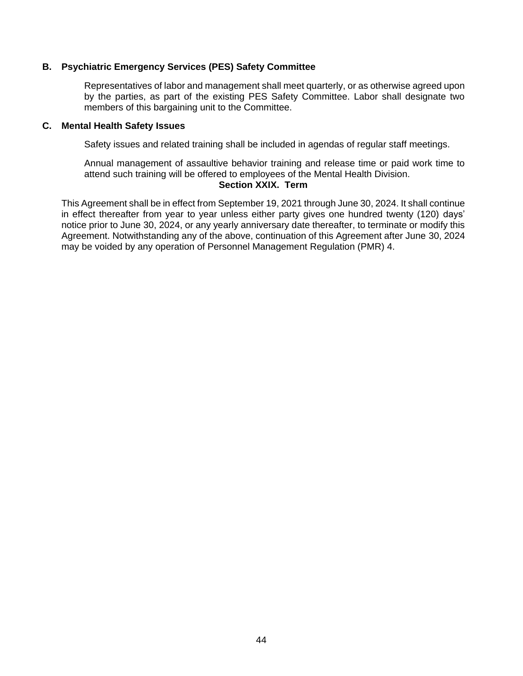#### <span id="page-48-0"></span>**B. Psychiatric Emergency Services (PES) Safety Committee**

Representatives of labor and management shall meet quarterly, or as otherwise agreed upon by the parties, as part of the existing PES Safety Committee. Labor shall designate two members of this bargaining unit to the Committee.

#### <span id="page-48-1"></span>**C. Mental Health Safety Issues**

Safety issues and related training shall be included in agendas of regular staff meetings.

Annual management of assaultive behavior training and release time or paid work time to attend such training will be offered to employees of the Mental Health Division.

# **Section XXIX. Term**

<span id="page-48-2"></span>This Agreement shall be in effect from September 19, 2021 through June 30, 2024. It shall continue in effect thereafter from year to year unless either party gives one hundred twenty (120) days' notice prior to June 30, 2024, or any yearly anniversary date thereafter, to terminate or modify this Agreement. Notwithstanding any of the above, continuation of this Agreement after June 30, 2024 may be voided by any operation of Personnel Management Regulation (PMR) 4.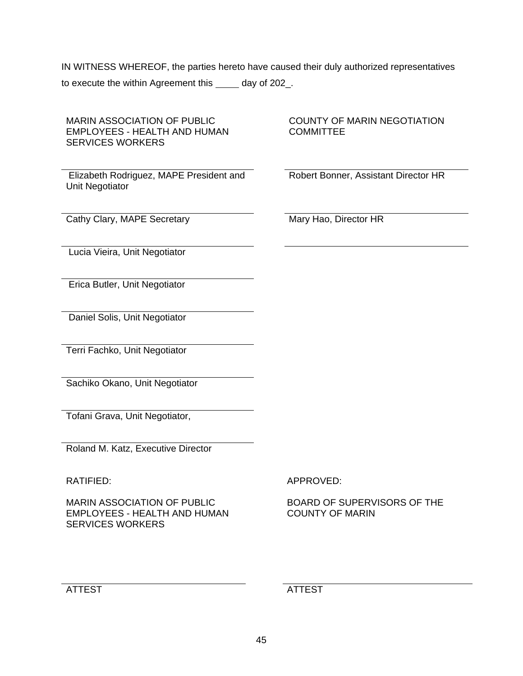IN WITNESS WHEREOF, the parties hereto have caused their duly authorized representatives to execute the within Agreement this \_\_\_\_\_ day of 202\_.

| <b>MARIN ASSOCIATION OF PUBLIC</b><br><b>EMPLOYEES - HEALTH AND HUMAN</b><br><b>SERVICES WORKERS</b> | <b>COUNTY OF MARIN NEGOTIATION</b><br><b>COMMITTEE</b> |
|------------------------------------------------------------------------------------------------------|--------------------------------------------------------|
| Elizabeth Rodriguez, MAPE President and<br>Unit Negotiator                                           | Robert Bonner, Assistant Director HR                   |
| Cathy Clary, MAPE Secretary                                                                          | Mary Hao, Director HR                                  |
| Lucia Vieira, Unit Negotiator                                                                        |                                                        |
| Erica Butler, Unit Negotiator                                                                        |                                                        |
| Daniel Solis, Unit Negotiator                                                                        |                                                        |
| Terri Fachko, Unit Negotiator                                                                        |                                                        |
| Sachiko Okano, Unit Negotiator                                                                       |                                                        |
| Tofani Grava, Unit Negotiator,                                                                       |                                                        |
| Roland M. Katz, Executive Director                                                                   |                                                        |
| <b>RATIFIED:</b>                                                                                     | APPROVED:                                              |
| MADINI ASSOCIATIONI OE DI IRI IC                                                                     | ROADD OF SHDEDWISODS OF THE                            |

MARIN ASSOCIATION OF PUBLIC EMPLOYEES - HEALTH AND HUMAN SERVICES WORKERS

BOARD OF SUPERVISORS OF THE COUNTY OF MARIN

ATTEST ATTEST ATTEST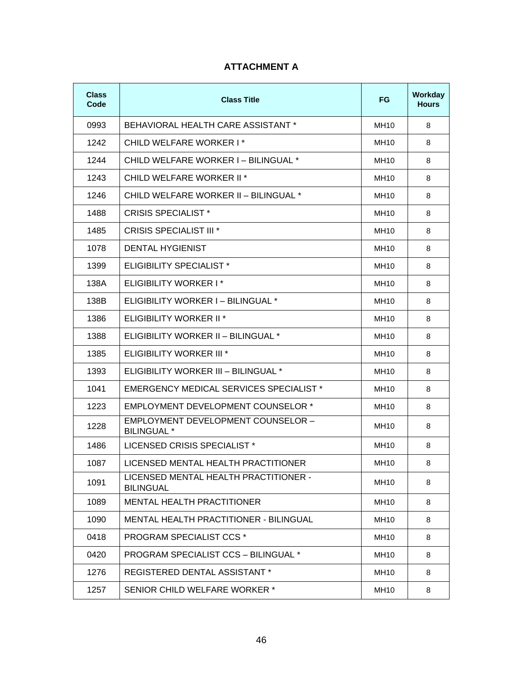# **ATTACHMENT A**

<span id="page-50-0"></span>

| Class<br>Code | <b>Class Title</b>                                        | <b>FG</b>        | Workday<br><b>Hours</b> |
|---------------|-----------------------------------------------------------|------------------|-------------------------|
| 0993          | BEHAVIORAL HEALTH CARE ASSISTANT *                        | <b>MH10</b>      | 8                       |
| 1242          | CHILD WELFARE WORKER I*                                   | MH10             | 8                       |
| 1244          | CHILD WELFARE WORKER I - BILINGUAL *                      | MH10             | 8                       |
| 1243          | CHILD WELFARE WORKER II <sup>*</sup>                      | MH <sub>10</sub> | 8                       |
| 1246          | CHILD WELFARE WORKER II - BILINGUAL *                     | MH10             | 8                       |
| 1488          | <b>CRISIS SPECIALIST *</b>                                | MH10             | 8                       |
| 1485          | <b>CRISIS SPECIALIST III *</b>                            | MH10             | 8                       |
| 1078          | <b>DENTAL HYGIENIST</b>                                   | MH10             | 8                       |
| 1399          | <b>ELIGIBILITY SPECIALIST *</b>                           | <b>MH10</b>      | 8                       |
| 138A          | ELIGIBILITY WORKER I*                                     | MH10             | 8                       |
| 138B          | ELIGIBILITY WORKER I - BILINGUAL *                        | MH10             | 8                       |
| 1386          | ELIGIBILITY WORKER II <sup>*</sup>                        | MH10             | 8                       |
| 1388          | ELIGIBILITY WORKER II - BILINGUAL *                       | <b>MH10</b>      | 8                       |
| 1385          | ELIGIBILITY WORKER III <sup>*</sup>                       | MH10             | 8                       |
| 1393          | ELIGIBILITY WORKER III - BILINGUAL *                      | MH10             | 8                       |
| 1041          | <b>EMERGENCY MEDICAL SERVICES SPECIALIST *</b>            | MH10             | 8                       |
| 1223          | <b>EMPLOYMENT DEVELOPMENT COUNSELOR *</b>                 | <b>MH10</b>      | 8                       |
| 1228          | EMPLOYMENT DEVELOPMENT COUNSELOR -<br><b>BILINGUAL</b> *  | MH10             | 8                       |
| 1486          | LICENSED CRISIS SPECIALIST *                              | MH10             | 8                       |
| 1087          | LICENSED MENTAL HEALTH PRACTITIONER                       | MH10             | 8                       |
| 1091          | LICENSED MENTAL HEALTH PRACTITIONER -<br><b>BILINGUAL</b> | MH10             | 8                       |
| 1089          | <b>MENTAL HEALTH PRACTITIONER</b>                         | MH10             | 8                       |
| 1090          | <b>MENTAL HEALTH PRACTITIONER - BILINGUAL</b>             | <b>MH10</b>      | 8                       |
| 0418          | <b>PROGRAM SPECIALIST CCS *</b>                           | MH10             | 8                       |
| 0420          | PROGRAM SPECIALIST CCS - BILINGUAL *                      | MH10             | 8                       |
| 1276          | <b>REGISTERED DENTAL ASSISTANT *</b>                      | MH10             | 8                       |
| 1257          | SENIOR CHILD WELFARE WORKER *                             | MH10             | 8                       |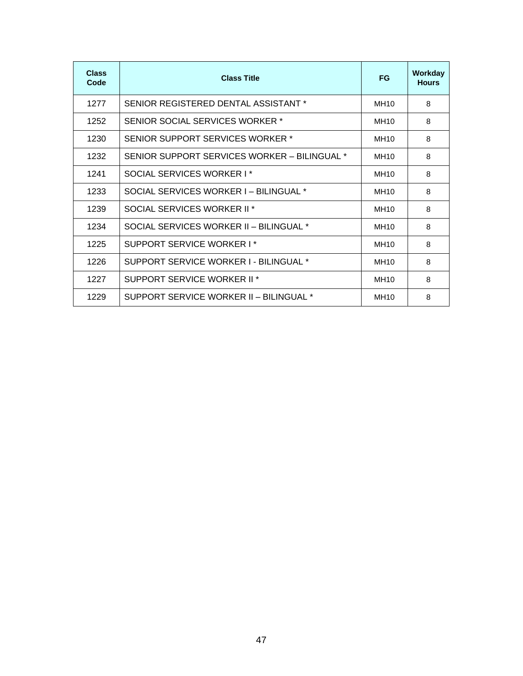| <b>Class</b><br>Code | <b>Class Title</b>                           | <b>FG</b>        | Workday<br><b>Hours</b> |
|----------------------|----------------------------------------------|------------------|-------------------------|
| 1277                 | SENIOR REGISTERED DENTAL ASSISTANT *         | <b>MH10</b>      | 8                       |
| 1252                 | SENIOR SOCIAL SERVICES WORKER *              | <b>MH10</b>      | 8                       |
| 1230                 | SENIOR SUPPORT SERVICES WORKER *             | MH <sub>10</sub> | 8                       |
| 1232                 | SENIOR SUPPORT SERVICES WORKER - BILINGUAL * | <b>MH10</b>      | 8                       |
| 1241                 | SOCIAL SERVICES WORKER I*                    | MH <sub>10</sub> | 8                       |
| 1233                 | SOCIAL SERVICES WORKER I - BILINGUAL *       | MH <sub>10</sub> | 8                       |
| 1239                 | SOCIAL SERVICES WORKER II <sup>*</sup>       | MH10             | 8                       |
| 1234                 | SOCIAL SERVICES WORKER II - BILINGUAL *      | MH <sub>10</sub> | 8                       |
| 1225                 | SUPPORT SERVICE WORKER I*                    | MH <sub>10</sub> | 8                       |
| 1226                 | SUPPORT SERVICE WORKER I - BILINGUAL *       | <b>MH10</b>      | 8                       |
| 1227                 | SUPPORT SERVICE WORKER II <sup>*</sup>       | <b>MH10</b>      | 8                       |
| 1229                 | SUPPORT SERVICE WORKER II - BILINGUAL *      | MH <sub>10</sub> | 8                       |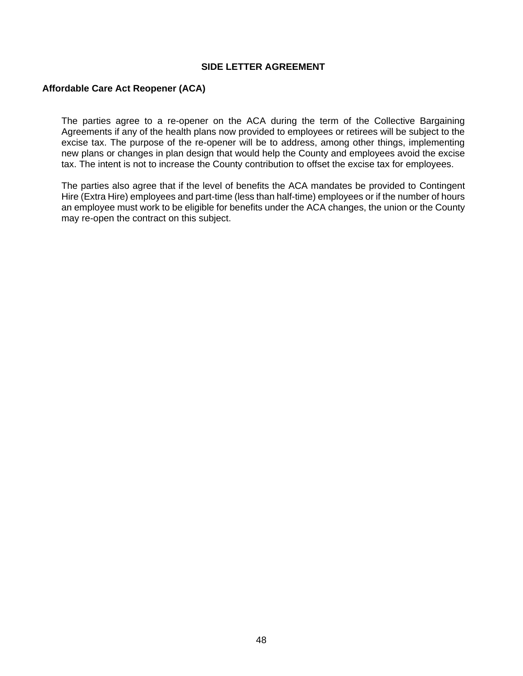#### **SIDE LETTER AGREEMENT**

#### <span id="page-52-0"></span>**Affordable Care Act Reopener (ACA)**

The parties agree to a re-opener on the ACA during the term of the Collective Bargaining Agreements if any of the health plans now provided to employees or retirees will be subject to the excise tax. The purpose of the re-opener will be to address, among other things, implementing new plans or changes in plan design that would help the County and employees avoid the excise tax. The intent is not to increase the County contribution to offset the excise tax for employees.

The parties also agree that if the level of benefits the ACA mandates be provided to Contingent Hire (Extra Hire) employees and part-time (less than half-time) employees or if the number of hours an employee must work to be eligible for benefits under the ACA changes, the union or the County may re-open the contract on this subject.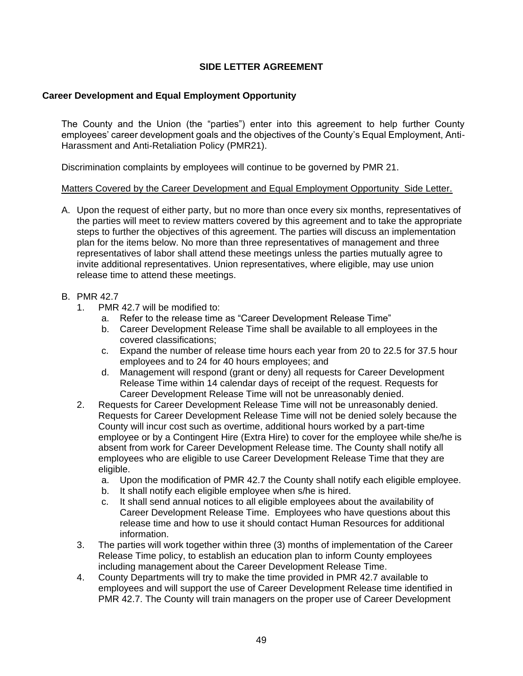## **SIDE LETTER AGREEMENT**

### <span id="page-53-1"></span><span id="page-53-0"></span>**Career Development and Equal Employment Opportunity**

The County and the Union (the "parties") enter into this agreement to help further County employees' career development goals and the objectives of the County's Equal Employment, Anti-Harassment and Anti-Retaliation Policy (PMR21).

Discrimination complaints by employees will continue to be governed by PMR 21.

#### Matters Covered by the Career Development and Equal Employment Opportunity Side Letter.

A. Upon the request of either party, but no more than once every six months, representatives of the parties will meet to review matters covered by this agreement and to take the appropriate steps to further the objectives of this agreement. The parties will discuss an implementation plan for the items below. No more than three representatives of management and three representatives of labor shall attend these meetings unless the parties mutually agree to invite additional representatives. Union representatives, where eligible, may use union release time to attend these meetings.

#### B. PMR 42.7

- 1. PMR 42.7 will be modified to:
	- a. Refer to the release time as "Career Development Release Time"
	- b. Career Development Release Time shall be available to all employees in the covered classifications;
	- c. Expand the number of release time hours each year from 20 to 22.5 for 37.5 hour employees and to 24 for 40 hours employees; and
	- d. Management will respond (grant or deny) all requests for Career Development Release Time within 14 calendar days of receipt of the request. Requests for Career Development Release Time will not be unreasonably denied.
- 2. Requests for Career Development Release Time will not be unreasonably denied. Requests for Career Development Release Time will not be denied solely because the County will incur cost such as overtime, additional hours worked by a part-time employee or by a Contingent Hire (Extra Hire) to cover for the employee while she/he is absent from work for Career Development Release time. The County shall notify all employees who are eligible to use Career Development Release Time that they are eligible.
	- a. Upon the modification of PMR 42.7 the County shall notify each eligible employee.
	- b. It shall notify each eligible employee when s/he is hired.
	- c. It shall send annual notices to all eligible employees about the availability of Career Development Release Time. Employees who have questions about this release time and how to use it should contact Human Resources for additional information.
- 3. The parties will work together within three (3) months of implementation of the Career Release Time policy, to establish an education plan to inform County employees including management about the Career Development Release Time.
- 4. County Departments will try to make the time provided in PMR 42.7 available to employees and will support the use of Career Development Release time identified in PMR 42.7. The County will train managers on the proper use of Career Development